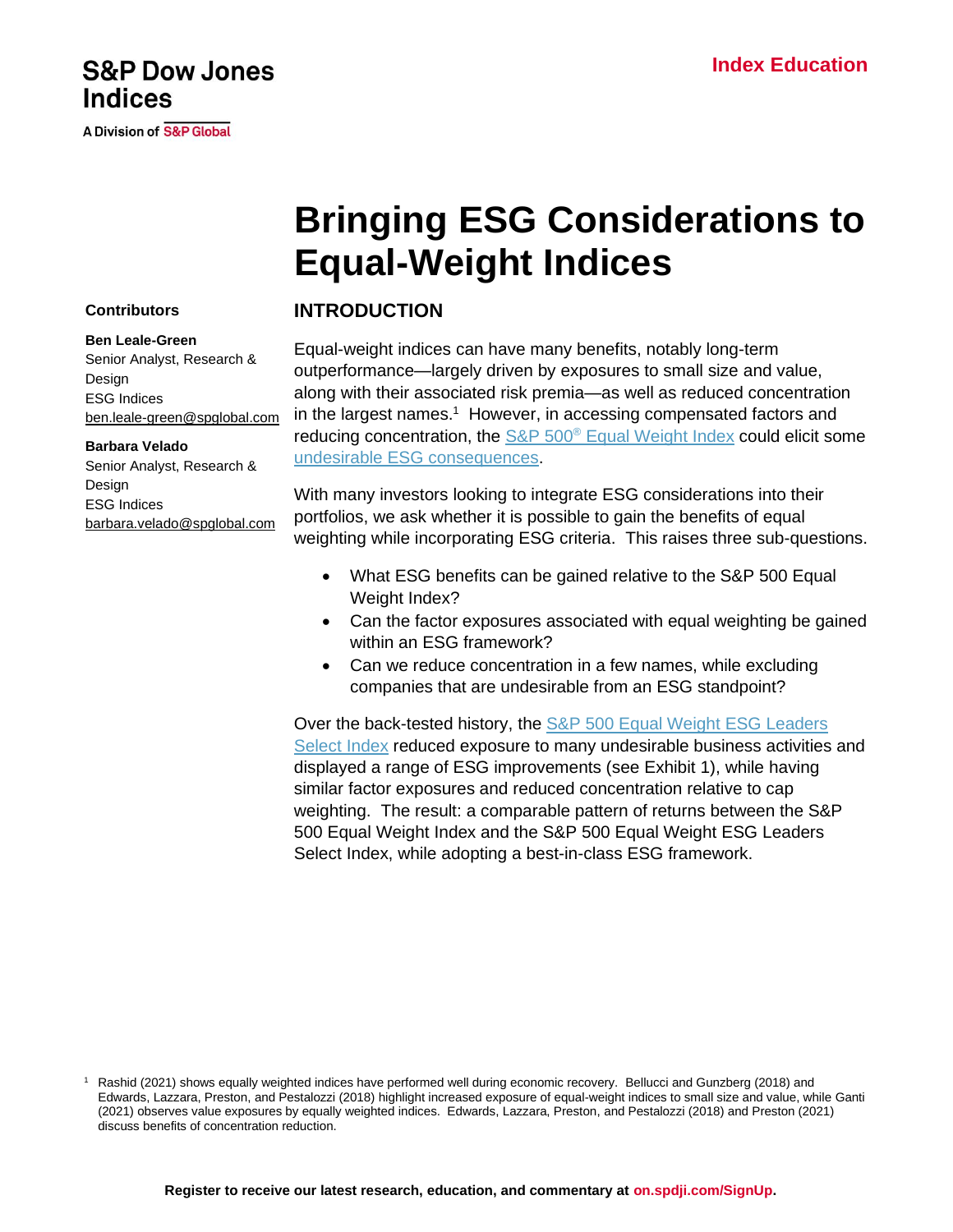### **Index Education**

## **S&P Dow Jones Indices**

**A Division of S&P Global** 

# **Bringing ESG Considerations to Equal-Weight Indices**

### **INTRODUCTION**

Equal-weight indices can have many benefits, notably long-term outperformance—largely driven by exposures to small size and value, along with their associated risk premia—as well as reduced concentration in the largest names.<sup>1</sup> However, in accessing compensated factors and reducing concentration, the S&P 500<sup>®</sup> [Equal Weight Index](https://www.spglobal.com/spdji/en/indices/equity/sp-500-equal-weight-index?utm_source=pdf_education) could elicit some [undesirable ESG consequences.](https://www.indexologyblog.com/2019/07/08/unintended-esg-consequences-of-the-sp-factor-indices-part-1/?utm_source=pdf_education)

With many investors looking to integrate ESG considerations into their portfolios, we ask whether it is possible to gain the benefits of equal weighting while incorporating ESG criteria. This raises three sub-questions.

- What ESG benefits can be gained relative to the S&P 500 Equal Weight Index?
- Can the factor exposures associated with equal weighting be gained within an ESG framework?
- Can we reduce concentration in a few names, while excluding companies that are undesirable from an ESG standpoint?

Over the back-tested history, the [S&P 500 Equal Weight ESG Leaders](https://www.spglobal.com/spdji/en/indices/esg/sp-500-equal-weight-esg-leaders-select-index?utm_source=pdf_education)  [Select Index](https://www.spglobal.com/spdji/en/indices/esg/sp-500-equal-weight-esg-leaders-select-index?utm_source=pdf_education) reduced exposure to many undesirable business activities and displayed a range of ESG improvements (see Exhibit 1), while having similar factor exposures and reduced concentration relative to cap weighting. The result: a comparable pattern of returns between the S&P 500 Equal Weight Index and the S&P 500 Equal Weight ESG Leaders Select Index, while adopting a best-in-class ESG framework.

# **Contributors**

**Ben Leale-Green**

Senior Analyst, Research & Design ESG Indices [ben.leale-green@spglobal.com](mailto:ben.leale-green@spglobal.com)

### **Barbara Velado**

Senior Analyst, Research & Design ESG Indices [barbara.velado@spglobal.com](mailto:barbara.velado@spglobal.com)

<sup>1</sup> Rashid (2021) shows equally weighted indices have performed well during economic recovery. Bellucci and Gunzberg (2018) and Edwards, Lazzara, Preston, and Pestalozzi (2018) highlight increased exposure of equal-weight indices to small size and value, while Ganti (2021) observes value exposures by equally weighted indices. Edwards, Lazzara, Preston, and Pestalozzi (2018) and Preston (2021) discuss benefits of concentration reduction.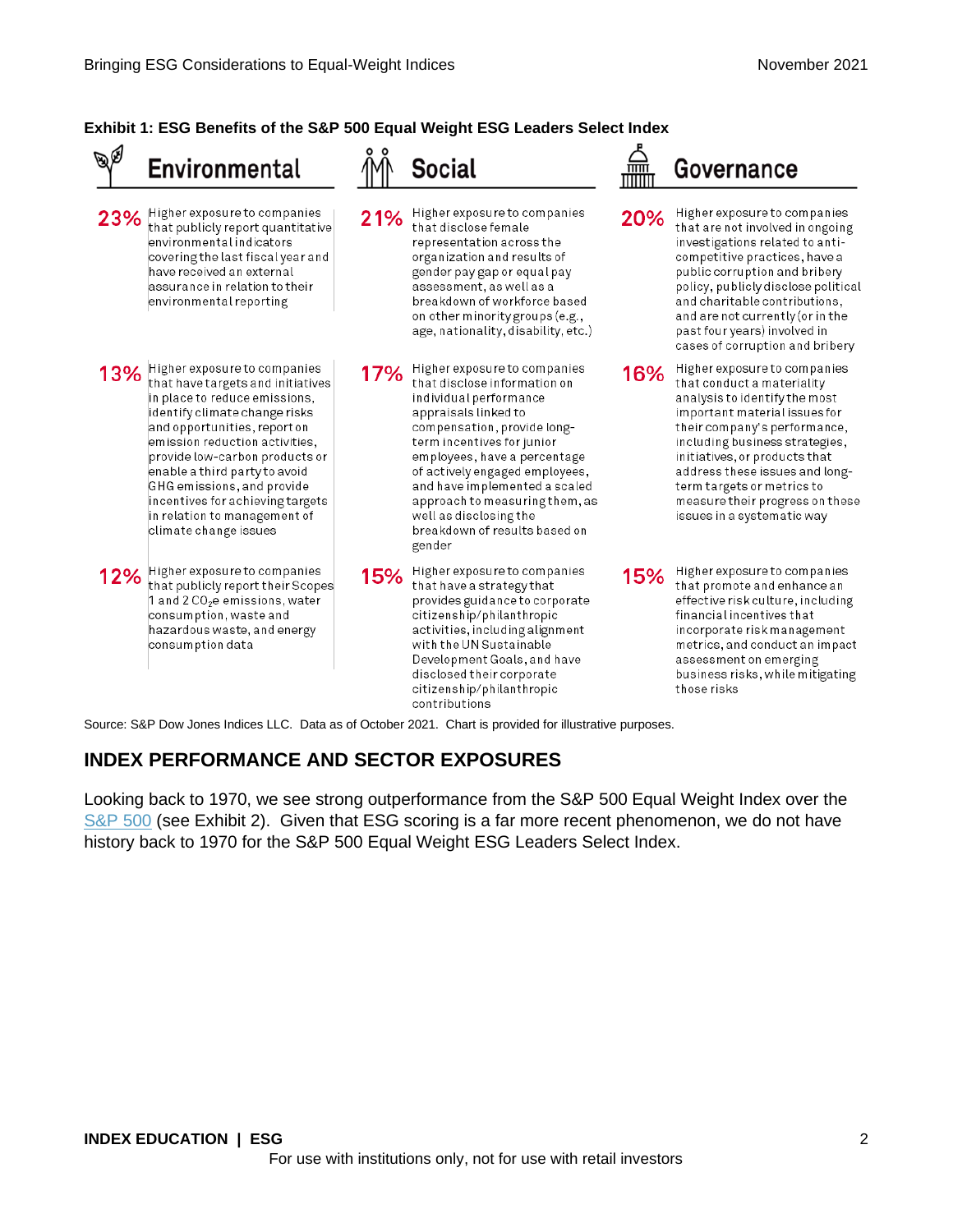### **Exhibit 1: ESG Benefits of the S&P 500 Equal Weight ESG Leaders Select Index**



Source: S&P Dow Jones Indices LLC. Data as of October 2021. Chart is provided for illustrative purposes.

### **INDEX PERFORMANCE AND SECTOR EXPOSURES**

Looking back to 1970, we see strong outperformance from the S&P 500 Equal Weight Index over the [S&P 500](https://www.spglobal.com/spdji/en/indices/equity/sp-500?utm_source=pdf_education) (see Exhibit 2). Given that ESG scoring is a far more recent phenomenon, we do not have history back to 1970 for the S&P 500 Equal Weight ESG Leaders Select Index.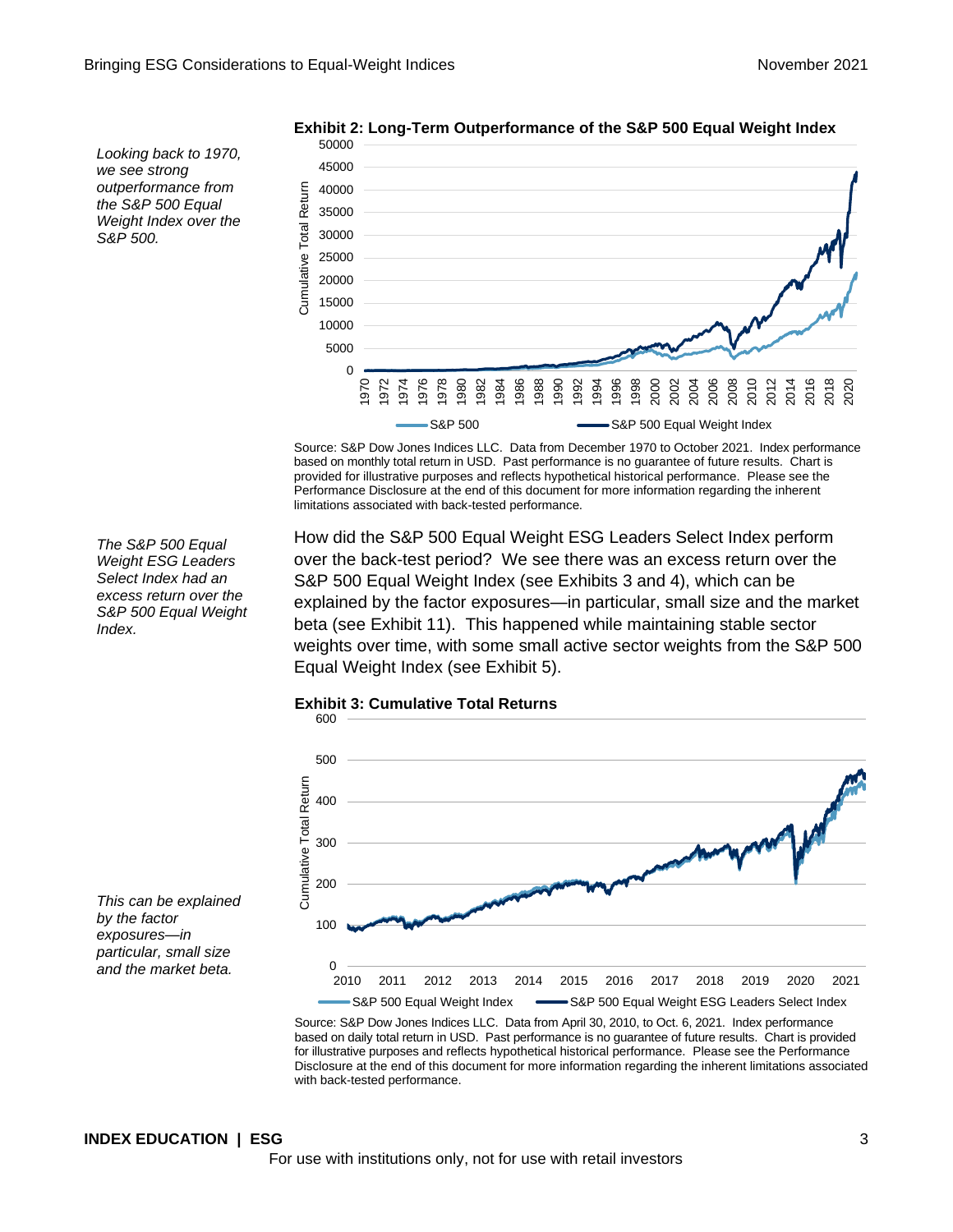*Looking back to 1970, we see strong outperformance from the S&P 500 Equal Weight Index over the S&P 500.*



**Exhibit 2: Long-Term Outperformance of the S&P 500 Equal Weight Index**

Source: S&P Dow Jones Indices LLC. Data from December 1970 to October 2021. Index performance based on monthly total return in USD. Past performance is no guarantee of future results. Chart is provided for illustrative purposes and reflects hypothetical historical performance. Please see the Performance Disclosure at the end of this document for more information regarding the inherent

*The S&P 500 Equal Weight ESG Leaders Select Index had an excess return over the S&P 500 Equal Weight Index.*

How did the S&P 500 Equal Weight ESG Leaders Select Index perform over the back-test period? We see there was an excess return over the S&P 500 Equal Weight Index (see Exhibits 3 and 4), which can be explained by the factor exposures—in particular, small size and the market beta (see Exhibit 11). This happened while maintaining stable sector weights over time, with some small active sector weights from the S&P 500 Equal Weight Index (see Exhibit 5).



limitations associated with back-tested performance.



Source: S&P Dow Jones Indices LLC. Data from April 30, 2010, to Oct. 6, 2021. Index performance based on daily total return in USD. Past performance is no guarantee of future results. Chart is provided for illustrative purposes and reflects hypothetical historical performance. Please see the Performance Disclosure at the end of this document for more information regarding the inherent limitations associated with back-tested performance.

*This can be explained by the factor exposures—in particular, small size and the market beta.*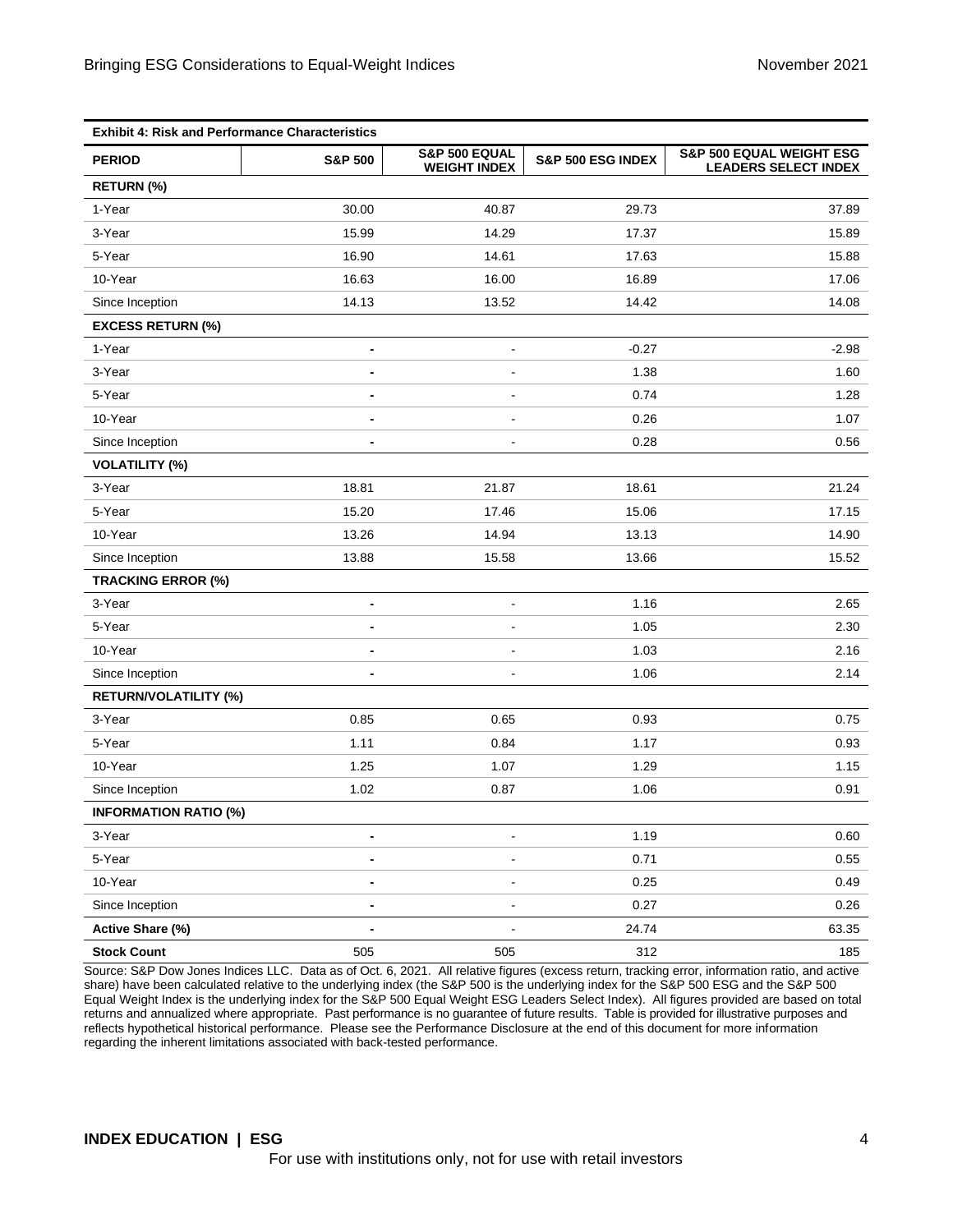| <b>Exhibit 4: Risk and Performance Characteristics</b> |                              |                                      |                   |                                                         |
|--------------------------------------------------------|------------------------------|--------------------------------------|-------------------|---------------------------------------------------------|
| <b>PERIOD</b>                                          | <b>S&amp;P 500</b>           | S&P 500 EQUAL<br><b>WEIGHT INDEX</b> | S&P 500 ESG INDEX | S&P 500 EQUAL WEIGHT ESG<br><b>LEADERS SELECT INDEX</b> |
| RETURN (%)                                             |                              |                                      |                   |                                                         |
| 1-Year                                                 | 30.00                        | 40.87                                | 29.73             | 37.89                                                   |
| 3-Year                                                 | 15.99                        | 14.29                                | 17.37             | 15.89                                                   |
| 5-Year                                                 | 16.90                        | 14.61                                | 17.63             | 15.88                                                   |
| 10-Year                                                | 16.63                        | 16.00                                | 16.89             | 17.06                                                   |
| Since Inception                                        | 14.13                        | 13.52                                | 14.42             | 14.08                                                   |
| <b>EXCESS RETURN (%)</b>                               |                              |                                      |                   |                                                         |
| 1-Year                                                 | $\overline{\phantom{a}}$     | $\blacksquare$                       | $-0.27$           | $-2.98$                                                 |
| 3-Year                                                 | $\blacksquare$               | $\blacksquare$                       | 1.38              | 1.60                                                    |
| 5-Year                                                 | $\blacksquare$               | $\blacksquare$                       | 0.74              | 1.28                                                    |
| 10-Year                                                | ٠                            | $\blacksquare$                       | 0.26              | 1.07                                                    |
| Since Inception                                        | $\blacksquare$               | $\blacksquare$                       | 0.28              | 0.56                                                    |
| <b>VOLATILITY (%)</b>                                  |                              |                                      |                   |                                                         |
| 3-Year                                                 | 18.81                        | 21.87                                | 18.61             | 21.24                                                   |
| 5-Year                                                 | 15.20                        | 17.46                                | 15.06             | 17.15                                                   |
| 10-Year                                                | 13.26                        | 14.94                                | 13.13             | 14.90                                                   |
| Since Inception                                        | 13.88                        | 15.58                                | 13.66             | 15.52                                                   |
| <b>TRACKING ERROR (%)</b>                              |                              |                                      |                   |                                                         |
| 3-Year                                                 | $\blacksquare$               | $\blacksquare$                       | 1.16              | 2.65                                                    |
| 5-Year                                                 | $\qquad \qquad \blacksquare$ | $\overline{\phantom{a}}$             | 1.05              | 2.30                                                    |
| 10-Year                                                | $\blacksquare$               | $\blacksquare$                       | 1.03              | 2.16                                                    |
| Since Inception                                        | $\overline{a}$               |                                      | 1.06              | 2.14                                                    |
| RETURN/VOLATILITY (%)                                  |                              |                                      |                   |                                                         |
| 3-Year                                                 | 0.85                         | 0.65                                 | 0.93              | 0.75                                                    |
| 5-Year                                                 | 1.11                         | 0.84                                 | 1.17              | 0.93                                                    |
| 10-Year                                                | 1.25                         | 1.07                                 | 1.29              | 1.15                                                    |
| Since Inception                                        | 1.02                         | 0.87                                 | 1.06              | 0.91                                                    |
| <b>INFORMATION RATIO (%)</b>                           |                              |                                      |                   |                                                         |
| 3-Year                                                 | -                            |                                      | 1.19              | 0.60                                                    |
| 5-Year                                                 | $\blacksquare$               |                                      | 0.71              | 0.55                                                    |
| 10-Year                                                | -                            |                                      | 0.25              | 0.49                                                    |
| Since Inception                                        |                              |                                      | 0.27              | 0.26                                                    |
| Active Share (%)                                       | $\qquad \qquad \blacksquare$ |                                      | 24.74             | 63.35                                                   |
| <b>Stock Count</b>                                     | 505                          | 505                                  | 312               | 185                                                     |

Source: S&P Dow Jones Indices LLC. Data as of Oct. 6, 2021. All relative figures (excess return, tracking error, information ratio, and active share) have been calculated relative to the underlying index (the S&P 500 is the underlying index for the S&P 500 ESG and the S&P 500 Equal Weight Index is the underlying index for the S&P 500 Equal Weight ESG Leaders Select Index). All figures provided are based on total returns and annualized where appropriate. Past performance is no guarantee of future results. Table is provided for illustrative purposes and reflects hypothetical historical performance. Please see the Performance Disclosure at the end of this document for more information regarding the inherent limitations associated with back-tested performance.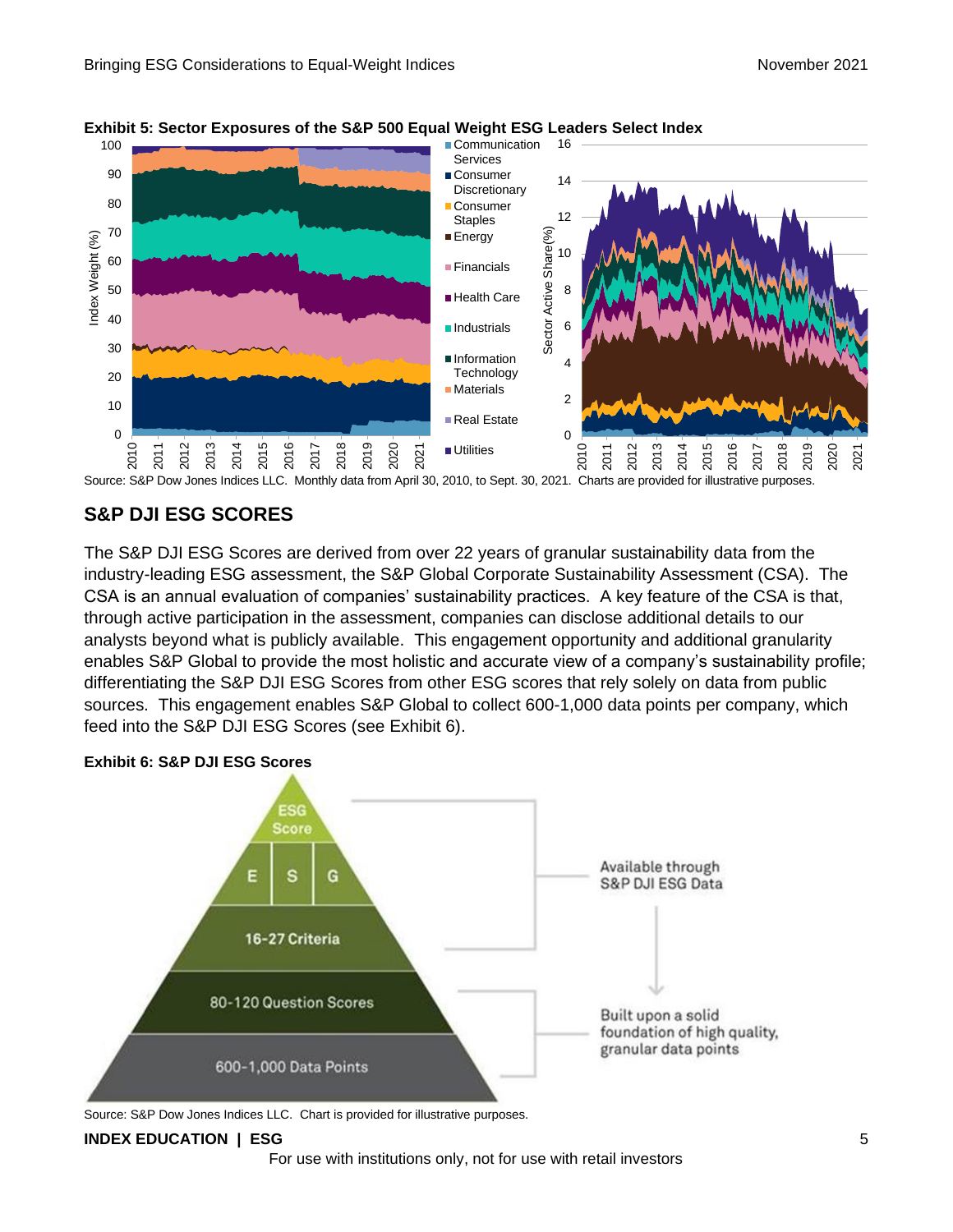

### **Exhibit 5: Sector Exposures of the S&P 500 Equal Weight ESG Leaders Select Index**

### **S&P DJI ESG SCORES**

The S&P DJI ESG Scores are derived from over 22 years of granular sustainability data from the industry-leading ESG assessment, the S&P Global Corporate Sustainability Assessment (CSA). The CSA is an annual evaluation of companies' sustainability practices. A key feature of the CSA is that, through active participation in the assessment, companies can disclose additional details to our analysts beyond what is publicly available. This engagement opportunity and additional granularity enables S&P Global to provide the most holistic and accurate view of a company's sustainability profile; differentiating the S&P DJI ESG Scores from other ESG scores that rely solely on data from public sources. This engagement enables S&P Global to collect 600-1,000 data points per company, which feed into the S&P DJI ESG Scores (see Exhibit 6).



**Exhibit 6: S&P DJI ESG Scores**

Source: S&P Dow Jones Indices LLC. Chart is provided for illustrative purposes.

#### **INDEX EDUCATION | ESG** 5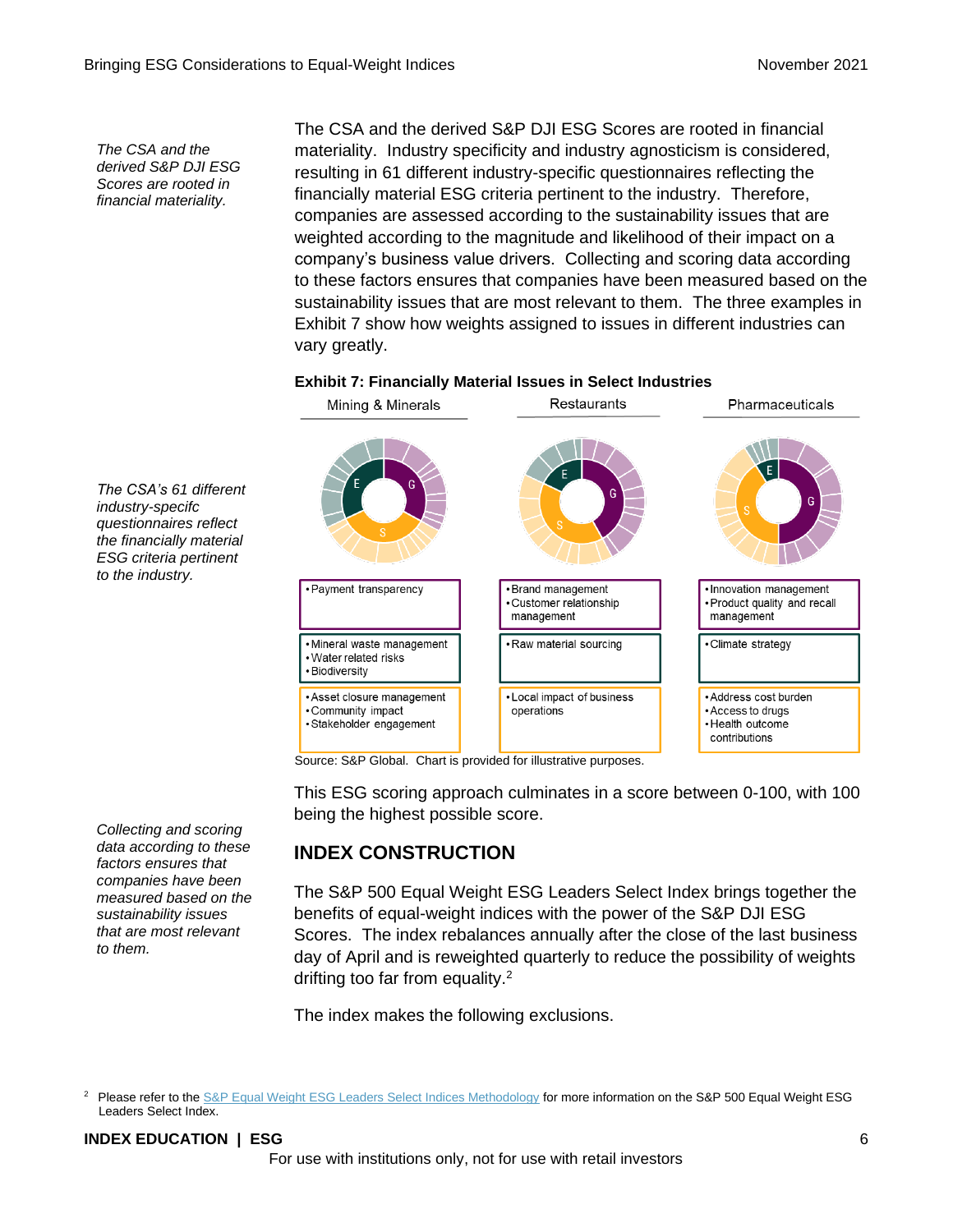*The CSA and the derived S&P DJI ESG Scores are rooted in financial materiality.*

*The CSA's 61 different industry-specifc questionnaires reflect the financially material ESG criteria pertinent to the industry.*

The CSA and the derived S&P DJI ESG Scores are rooted in financial materiality. Industry specificity and industry agnosticism is considered, resulting in 61 different industry-specific questionnaires reflecting the financially material ESG criteria pertinent to the industry. Therefore, companies are assessed according to the sustainability issues that are weighted according to the magnitude and likelihood of their impact on a company's business value drivers. Collecting and scoring data according to these factors ensures that companies have been measured based on the sustainability issues that are most relevant to them. The three examples in Exhibit 7 show how weights assigned to issues in different industries can vary greatly.

#### **Exhibit 7: Financially Material Issues in Select Industries**



Source: S&P Global. Chart is provided for illustrative purposes.

This ESG scoring approach culminates in a score between 0-100, with 100 being the highest possible score.

### **INDEX CONSTRUCTION**

The S&P 500 Equal Weight ESG Leaders Select Index brings together the benefits of equal-weight indices with the power of the S&P DJI ESG Scores. The index rebalances annually after the close of the last business day of April and is reweighted quarterly to reduce the possibility of weights drifting too far from equality.<sup>2</sup>

The index makes the following exclusions.

#### **INDEX EDUCATION | ESG** 6

For use with institutions only, not for use with retail investors

*Collecting and scoring data according to these factors ensures that companies have been measured based on the sustainability issues that are most relevant to them.*

<sup>&</sup>lt;sup>2</sup> Please refer to th[e S&P Equal Weight ESG Leaders Select Indices Methodology](https://www.spglobal.com/spdji/en/documents/methodologies/methodology-sp-ew-esg-leaders-select-indices.pdf?utm_source=pdf_education) for more information on the S&P 500 Equal Weight ESG Leaders Select Index.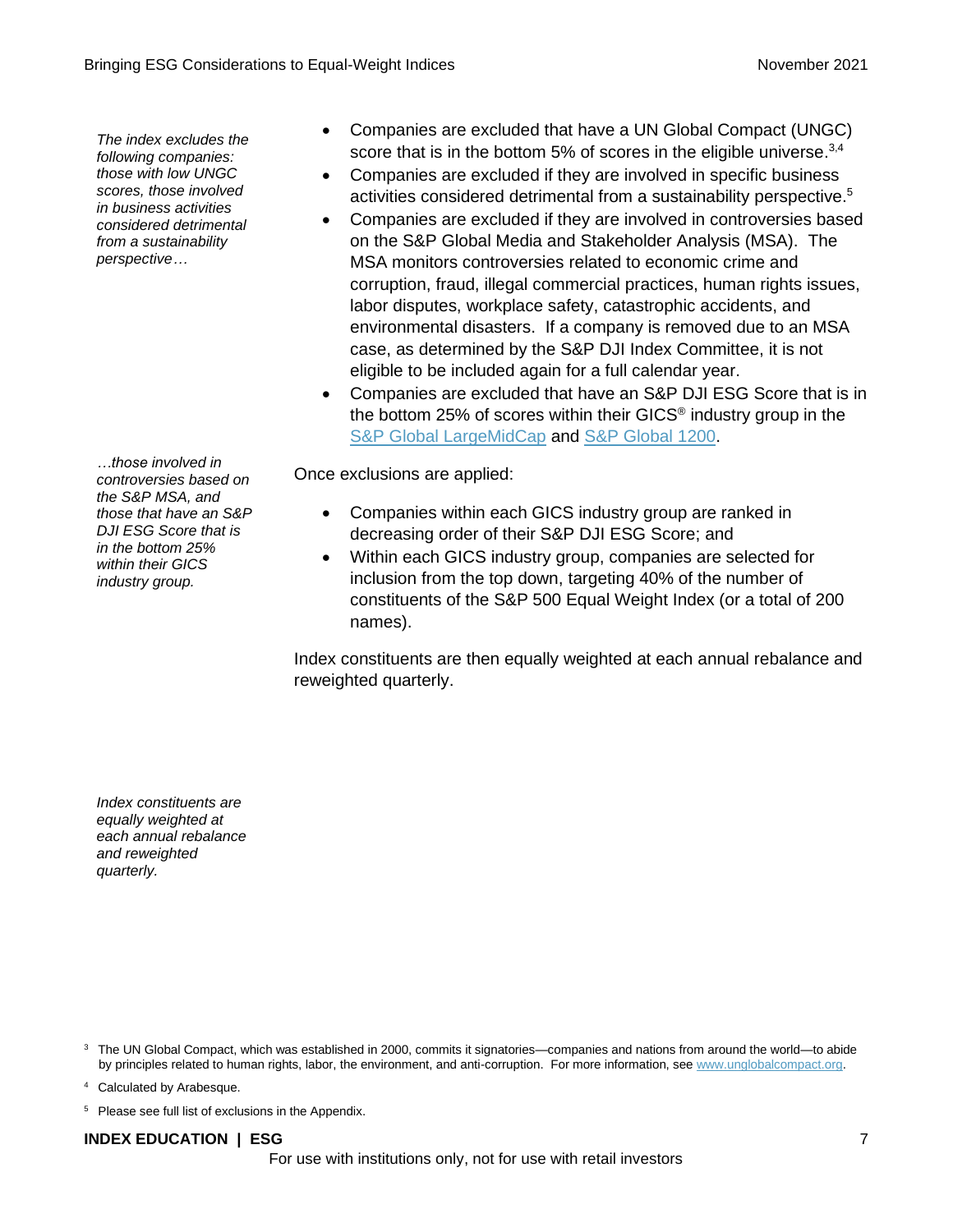*The index excludes the following companies: those with low UNGC scores, those involved in business activities considered detrimental from a sustainability perspective…*

*…those involved in controversies based on the S&P MSA, and those that have an S&P DJI ESG Score that is in the bottom 25% within their GICS industry group.*

- Companies are excluded that have a UN Global Compact (UNGC) score that is in the bottom 5% of scores in the eligible universe.<sup>3,4</sup>
- Companies are excluded if they are involved in specific business activities considered detrimental from a sustainability perspective. 5
- Companies are excluded if they are involved in controversies based on the S&P Global Media and Stakeholder Analysis (MSA). The MSA monitors controversies related to economic crime and corruption, fraud, illegal commercial practices, human rights issues, labor disputes, workplace safety, catastrophic accidents, and environmental disasters. If a company is removed due to an MSA case, as determined by the S&P DJI Index Committee, it is not eligible to be included again for a full calendar year.
- Companies are excluded that have an S&P DJI ESG Score that is in the bottom 25% of scores within their GICS® industry group in the [S&P Global LargeMidCap](https://www.spglobal.com/spdji/en/indices/equity/sp-global-largemidcap?utm_source=pdf_education) and [S&P Global 1200.](https://www.spglobal.com/spdji/en/indices/equity/sp-global-1200?utm_source=pdf_education)

Once exclusions are applied:

- Companies within each GICS industry group are ranked in decreasing order of their S&P DJI ESG Score; and
- Within each GICS industry group, companies are selected for inclusion from the top down, targeting 40% of the number of constituents of the S&P 500 Equal Weight Index (or a total of 200 names).

Index constituents are then equally weighted at each annual rebalance and reweighted quarterly.

*Index constituents are equally weighted at each annual rebalance and reweighted quarterly.*

<sup>3</sup> The UN Global Compact, which was established in 2000, commits it signatories—companies and nations from around the world—to abide by principles related to human rights, labor, the environment, and anti-corruption. For more information, se[e www.unglobalcompact.org.](http://www.unglobalcompact.org/)

<sup>4</sup> Calculated by Arabesque.

<sup>5</sup> Please see full list of exclusions in the Appendix.

### **INDEX EDUCATION | ESG** 7

For use with institutions only, not for use with retail investors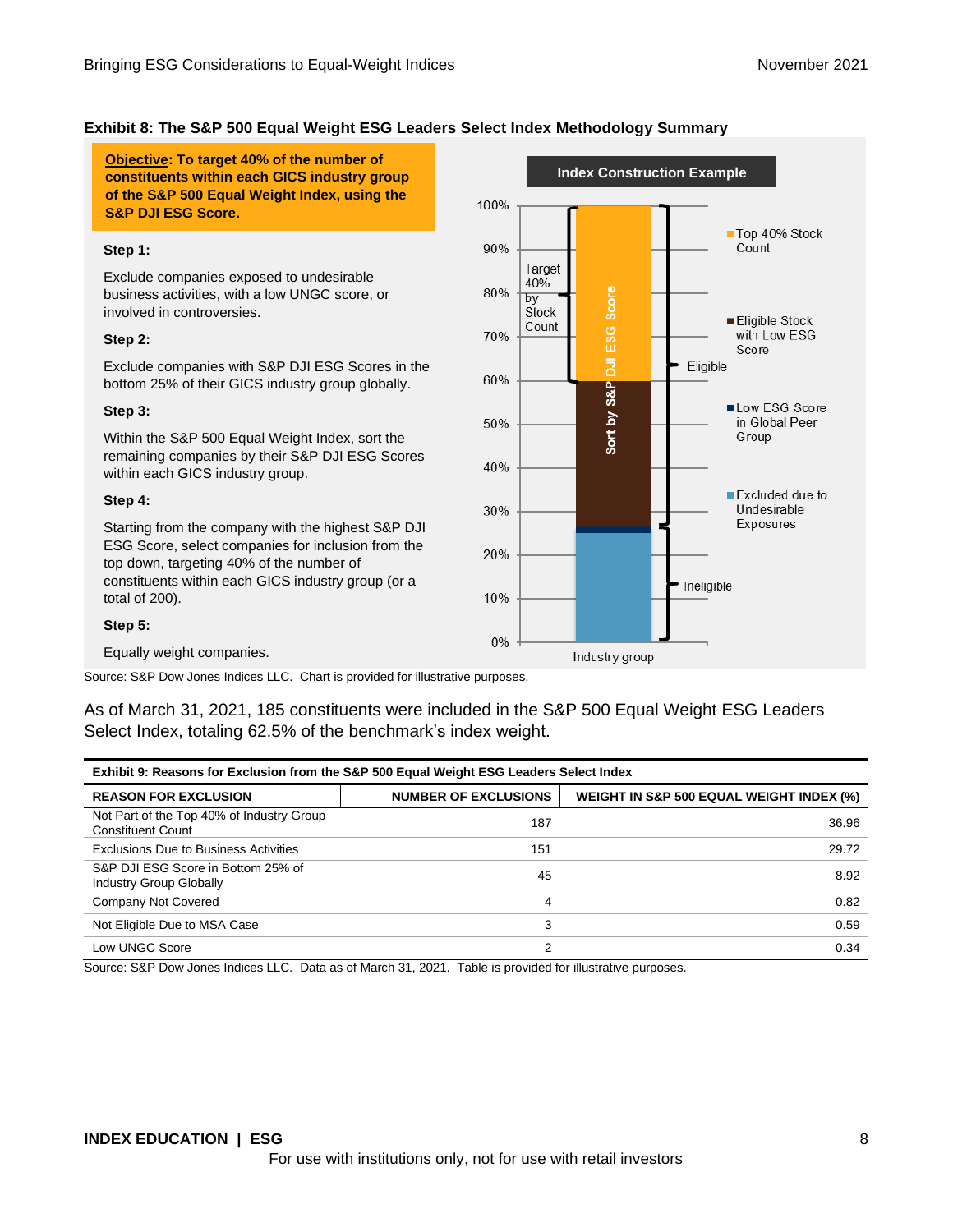#### **Exhibit 8: The S&P 500 Equal Weight ESG Leaders Select Index Methodology Summary**

**Objective: To target 40% of the number of constituents within each GICS industry group of the S&P 500 Equal Weight Index, using the S&P DJI ESG Score.**

#### **Step 1:**

Exclude companies exposed to undesirable business activities, with a low UNGC score, or involved in controversies.

#### **Step 2:**

Exclude companies with S&P DJI ESG Scores in the bottom 25% of their GICS industry group globally.

#### **Step 3:**

Within the S&P 500 Equal Weight Index, sort the remaining companies by their S&P DJI ESG Scores within each GICS industry group.

#### **Step 4:**

Starting from the company with the highest S&P DJI ESG Score, select companies for inclusion from the top down, targeting 40% of the number of constituents within each GICS industry group (or a total of 200).



#### **Step 5:**

Equally weight companies.

Source: S&P Dow Jones Indices LLC. Chart is provided for illustrative purposes.

As of March 31, 2021, 185 constituents were included in the S&P 500 Equal Weight ESG Leaders Select Index, totaling 62.5% of the benchmark's index weight.

| Exhibit 9: Reasons for Exclusion from the S&P 500 Equal Weight ESG Leaders Select Index |                             |                                          |  |
|-----------------------------------------------------------------------------------------|-----------------------------|------------------------------------------|--|
| <b>REASON FOR EXCLUSION</b>                                                             | <b>NUMBER OF EXCLUSIONS</b> | WEIGHT IN S&P 500 EQUAL WEIGHT INDEX (%) |  |
| Not Part of the Top 40% of Industry Group<br>Constituent Count                          | 187                         | 36.96                                    |  |
| Exclusions Due to Business Activities                                                   | 151                         | 29.72                                    |  |
| S&P DJI ESG Score in Bottom 25% of<br>Industry Group Globally                           | 45                          | 8.92                                     |  |
| Company Not Covered                                                                     | 4                           | 0.82                                     |  |
| Not Eligible Due to MSA Case                                                            | 3                           | 0.59                                     |  |
| Low UNGC Score                                                                          | 2                           | 0.34                                     |  |

Source: S&P Dow Jones Indices LLC. Data as of March 31, 2021. Table is provided for illustrative purposes.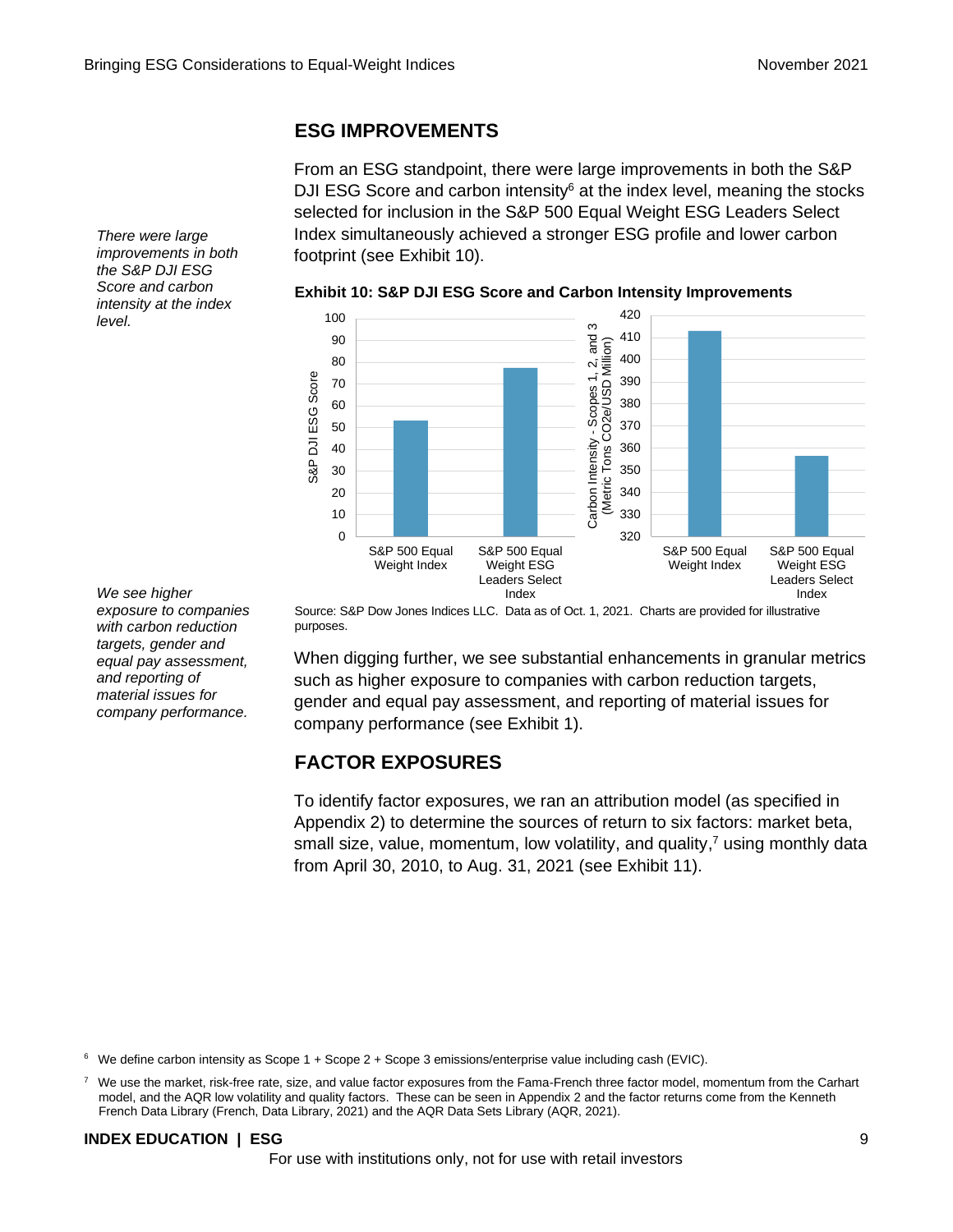### **ESG IMPROVEMENTS**

From an ESG standpoint, there were large improvements in both the S&P DJI ESG Score and carbon intensity $6$  at the index level, meaning the stocks selected for inclusion in the S&P 500 Equal Weight ESG Leaders Select Index simultaneously achieved a stronger ESG profile and lower carbon footprint (see Exhibit 10).



*There were large improvements in both the S&P DJI ESG Score and carbon intensity at the index level.*

*We see higher exposure to companies with carbon reduction targets, gender and equal pay assessment, and reporting of material issues for company performance.*

Source: S&P Dow Jones Indices LLC. Data as of Oct. 1, 2021. Charts are provided for illustrative purposes.

When digging further, we see substantial enhancements in granular metrics such as higher exposure to companies with carbon reduction targets, gender and equal pay assessment, and reporting of material issues for company performance (see Exhibit 1).

### **FACTOR EXPOSURES**

To identify factor exposures, we ran an attribution model (as specified in Appendix 2) to determine the sources of return to six factors: market beta, small size, value, momentum, low volatility, and quality,<sup>7</sup> using monthly data from April 30, 2010, to Aug. 31, 2021 (see Exhibit 11).

 $6$  We define carbon intensity as Scope 1 + Scope 2 + Scope 3 emissions/enterprise value including cash (EVIC).

 $7$  We use the market, risk-free rate, size, and value factor exposures from the Fama-French three factor model, momentum from the Carhart model, and the AQR low volatility and quality factors. These can be seen in Appendix 2 and the factor returns come from the Kenneth French Data Library (French, Data Library, 2021) and the AQR Data Sets Library (AQR, 2021).

### **INDEX EDUCATION | ESG** 9

For use with institutions only, not for use with retail investors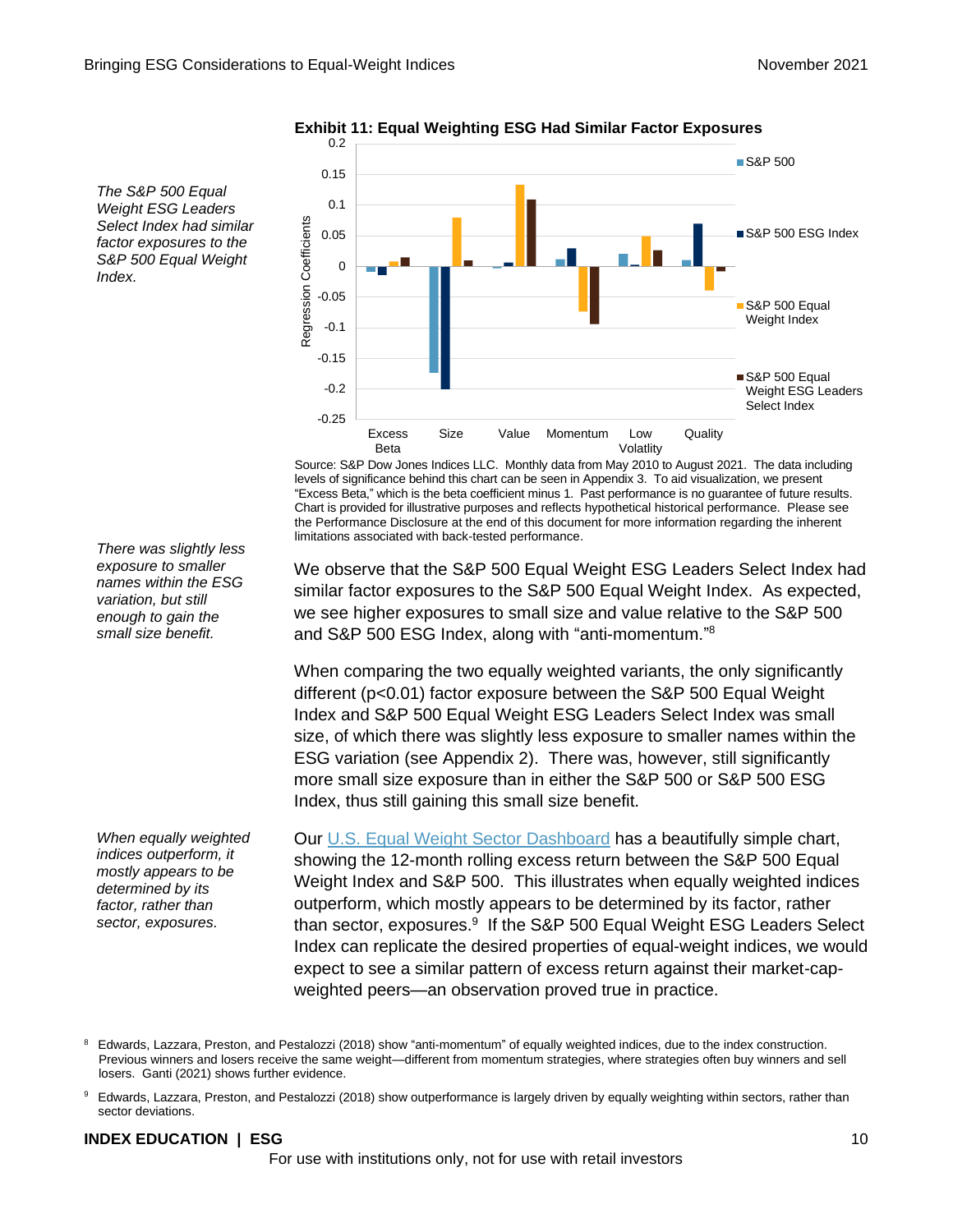

**Exhibit 11: Equal Weighting ESG Had Similar Factor Exposures** 0.2

Source: S&P Dow Jones Indices LLC. Monthly data from May 2010 to August 2021. The data including levels of significance behind this chart can be seen in Appendix 3. To aid visualization, we present "Excess Beta," which is the beta coefficient minus 1. Past performance is no guarantee of future results. Chart is provided for illustrative purposes and reflects hypothetical historical performance. Please see the Performance Disclosure at the end of this document for more information regarding the inherent limitations associated with back-tested performance.

We observe that the S&P 500 Equal Weight ESG Leaders Select Index had similar factor exposures to the S&P 500 Equal Weight Index. As expected, we see higher exposures to small size and value relative to the S&P 500 and S&P 500 ESG Index, along with "anti-momentum."<sup>8</sup>

When comparing the two equally weighted variants, the only significantly different (p<0.01) factor exposure between the S&P 500 Equal Weight Index and S&P 500 Equal Weight ESG Leaders Select Index was small size, of which there was slightly less exposure to smaller names within the ESG variation (see Appendix 2). There was, however, still significantly more small size exposure than in either the S&P 500 or S&P 500 ESG Index, thus still gaining this small size benefit.

Our [U.S. Equal Weight Sector Dashboard](https://www.spglobal.com/spdji/en/documents/performance-reports/dashboard-us-equal-weight-sector-2021-10.pdf?utm_source=pdf_education) has a beautifully simple chart, showing the 12-month rolling excess return between the S&P 500 Equal Weight Index and S&P 500. This illustrates when equally weighted indices outperform, which mostly appears to be determined by its factor, rather than sector, exposures.<sup>9</sup> If the S&P 500 Equal Weight ESG Leaders Select Index can replicate the desired properties of equal-weight indices, we would expect to see a similar pattern of excess return against their market-capweighted peers—an observation proved true in practice.

#### **INDEX EDUCATION | ESG** 10

For use with institutions only, not for use with retail investors

*There was slightly less exposure to smaller names within the ESG variation, but still enough to gain the small size benefit.*

*The S&P 500 Equal Weight ESG Leaders Select Index had similar factor exposures to the S&P 500 Equal Weight* 

*Index.*

*When equally weighted indices outperform, it mostly appears to be determined by its factor, rather than sector, exposures.*

<sup>&</sup>lt;sup>8</sup> Edwards, Lazzara, Preston, and Pestalozzi (2018) show "anti-momentum" of equally weighted indices, due to the index construction. Previous winners and losers receive the same weight—different from momentum strategies, where strategies often buy winners and sell losers. Ganti (2021) shows further evidence.

<sup>9</sup> Edwards, Lazzara, Preston, and Pestalozzi (2018) show outperformance is largely driven by equally weighting within sectors, rather than sector deviations.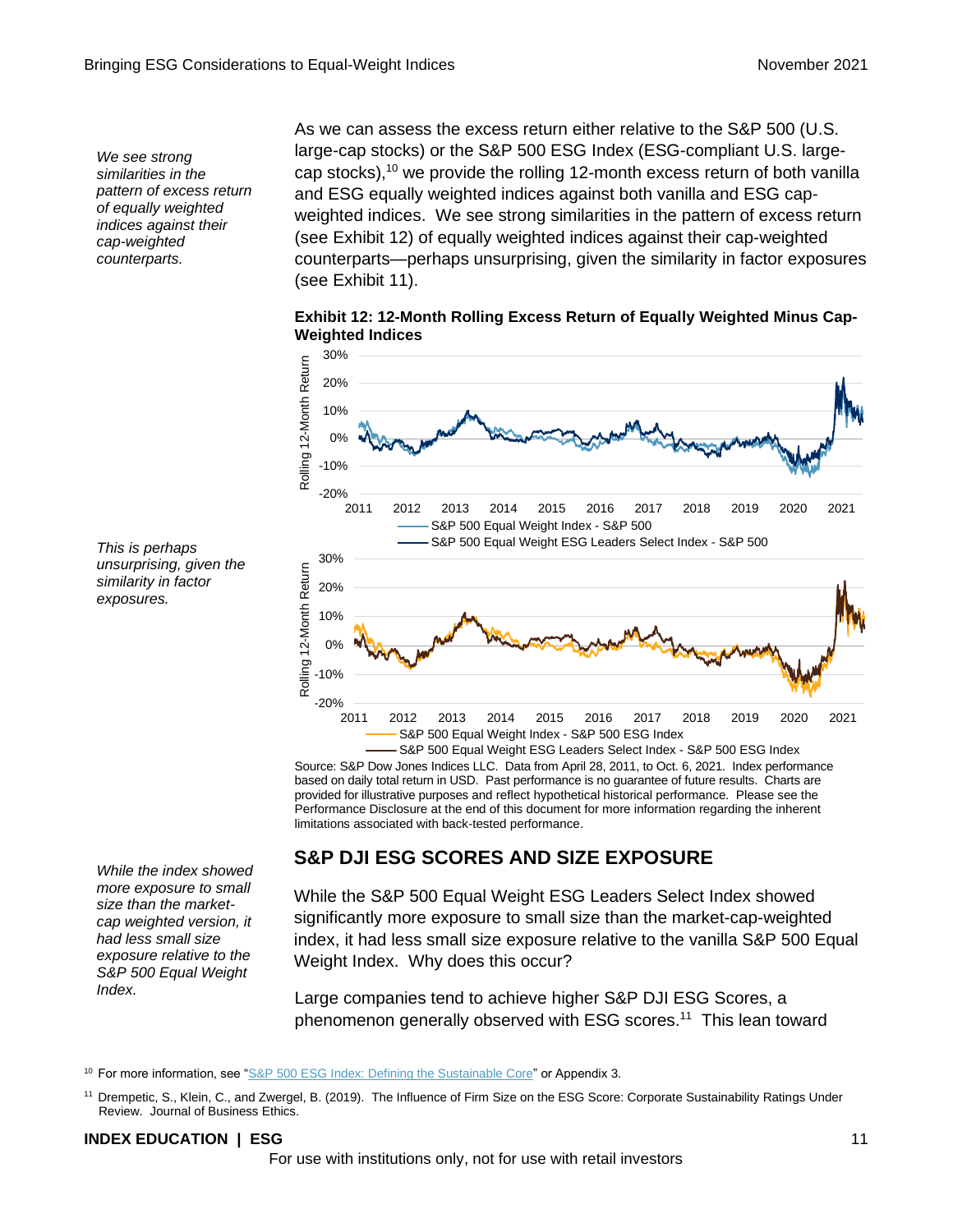*We see strong similarities in the pattern of excess return of equally weighted indices against their cap-weighted counterparts.*

As we can assess the excess return either relative to the S&P 500 (U.S. large-cap stocks) or the S&P 500 ESG Index (ESG-compliant U.S. largecap stocks),<sup>10</sup> we provide the rolling 12-month excess return of both vanilla and ESG equally weighted indices against both vanilla and ESG capweighted indices. We see strong similarities in the pattern of excess return (see Exhibit 12) of equally weighted indices against their cap-weighted counterparts—perhaps unsurprising, given the similarity in factor exposures (see Exhibit 11).

**Exhibit 12: 12-Month Rolling Excess Return of Equally Weighted Minus Cap-Weighted Indices**



Source: S&P Dow Jones Indices LLC. Data from April 28, 2011, to Oct. 6, 2021. Index performance based on daily total return in USD. Past performance is no guarantee of future results. Charts are provided for illustrative purposes and reflect hypothetical historical performance. Please see the Performance Disclosure at the end of this document for more information regarding the inherent limitations associated with back-tested performance.

### **S&P DJI ESG SCORES AND SIZE EXPOSURE**

While the S&P 500 Equal Weight ESG Leaders Select Index showed significantly more exposure to small size than the market-cap-weighted index, it had less small size exposure relative to the vanilla S&P 500 Equal Weight Index. Why does this occur?

Large companies tend to achieve higher S&P DJI ESG Scores, a phenomenon generally observed with ESG scores.<sup>11</sup> This lean toward

<sup>10</sup> For more information, see ["S&P 500 ESG Index: Defining the Sustainable Core"](https://www.spglobal.com/spdji/en/education/article/the-sp-500-esg-index-defining-the-sustainable-core/?utm_source=pdf_education) or Appendix 3.

#### **INDEX EDUCATION | ESG** 11

*This is perhaps unsurprising, given the similarity in factor exposures.*

*While the index showed more exposure to small size than the marketcap weighted version, it had less small size exposure relative to the S&P 500 Equal Weight Index.*

<sup>11</sup> Drempetic, S., Klein, C., and Zwergel, B. (2019). The Influence of Firm Size on the ESG Score: Corporate Sustainability Ratings Under Review. Journal of Business Ethics.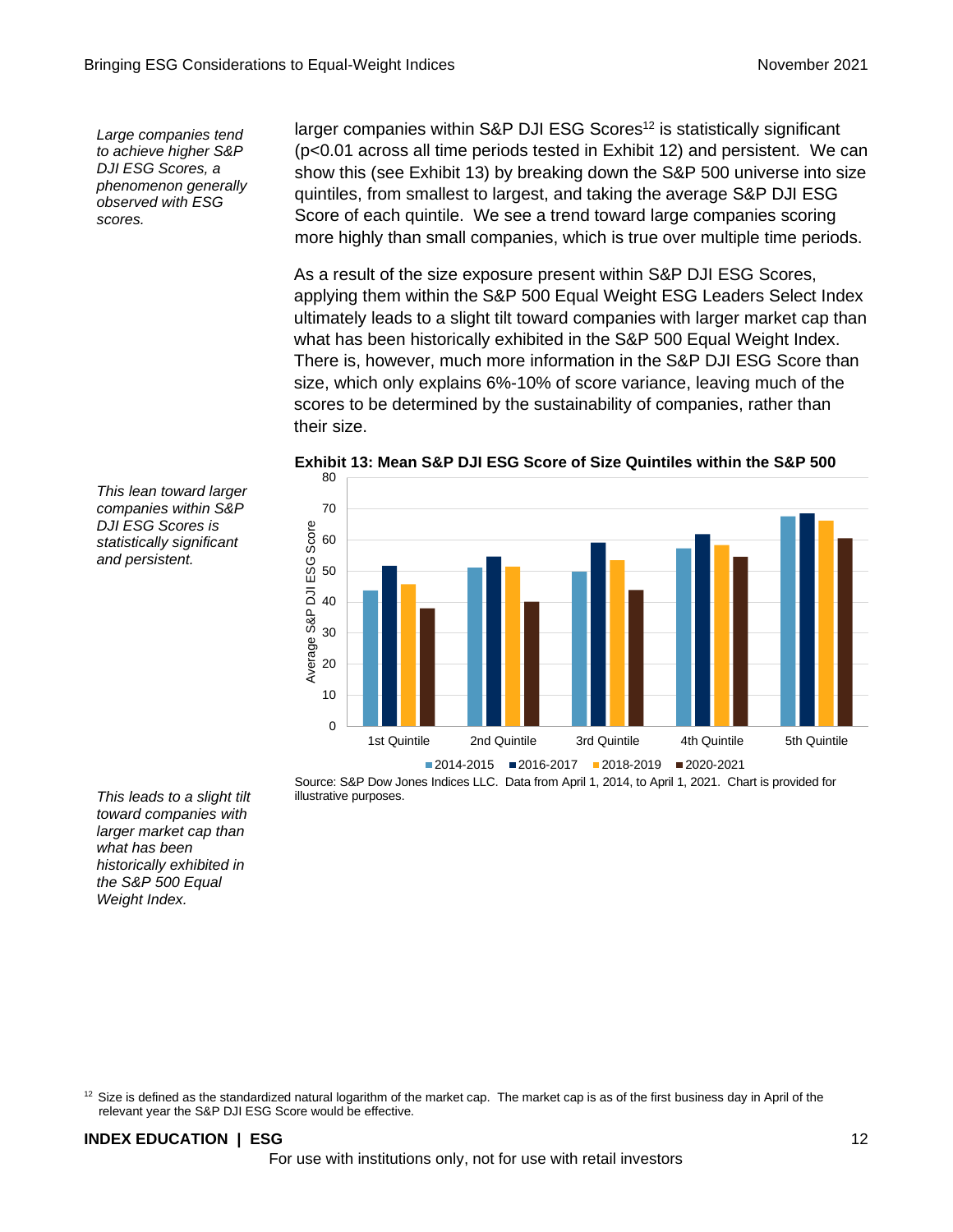*Large companies tend to achieve higher S&P DJI ESG Scores, a phenomenon generally observed with ESG scores.*

*This lean toward larger companies within S&P DJI ESG Scores is statistically significant and persistent.*

larger companies within S&P DJI ESG Scores<sup>12</sup> is statistically significant (p<0.01 across all time periods tested in Exhibit 12) and persistent. We can show this (see Exhibit 13) by breaking down the S&P 500 universe into size quintiles, from smallest to largest, and taking the average S&P DJI ESG Score of each quintile. We see a trend toward large companies scoring more highly than small companies, which is true over multiple time periods.

As a result of the size exposure present within S&P DJI ESG Scores, applying them within the S&P 500 Equal Weight ESG Leaders Select Index ultimately leads to a slight tilt toward companies with larger market cap than what has been historically exhibited in the S&P 500 Equal Weight Index. There is, however, much more information in the S&P DJI ESG Score than size, which only explains 6%-10% of score variance, leaving much of the scores to be determined by the sustainability of companies, rather than their size.



**Exhibit 13: Mean S&P DJI ESG Score of Size Quintiles within the S&P 500**

Source: S&P Dow Jones Indices LLC. Data from April 1, 2014, to April 1, 2021. Chart is provided for illustrative purposes.

*This leads to a slight tilt toward companies with larger market cap than what has been historically exhibited in the S&P 500 Equal Weight Index.*

 $12$  Size is defined as the standardized natural logarithm of the market cap. The market cap is as of the first business day in April of the relevant year the S&P DJI ESG Score would be effective.

### **INDEX EDUCATION | ESG** 12

For use with institutions only, not for use with retail investors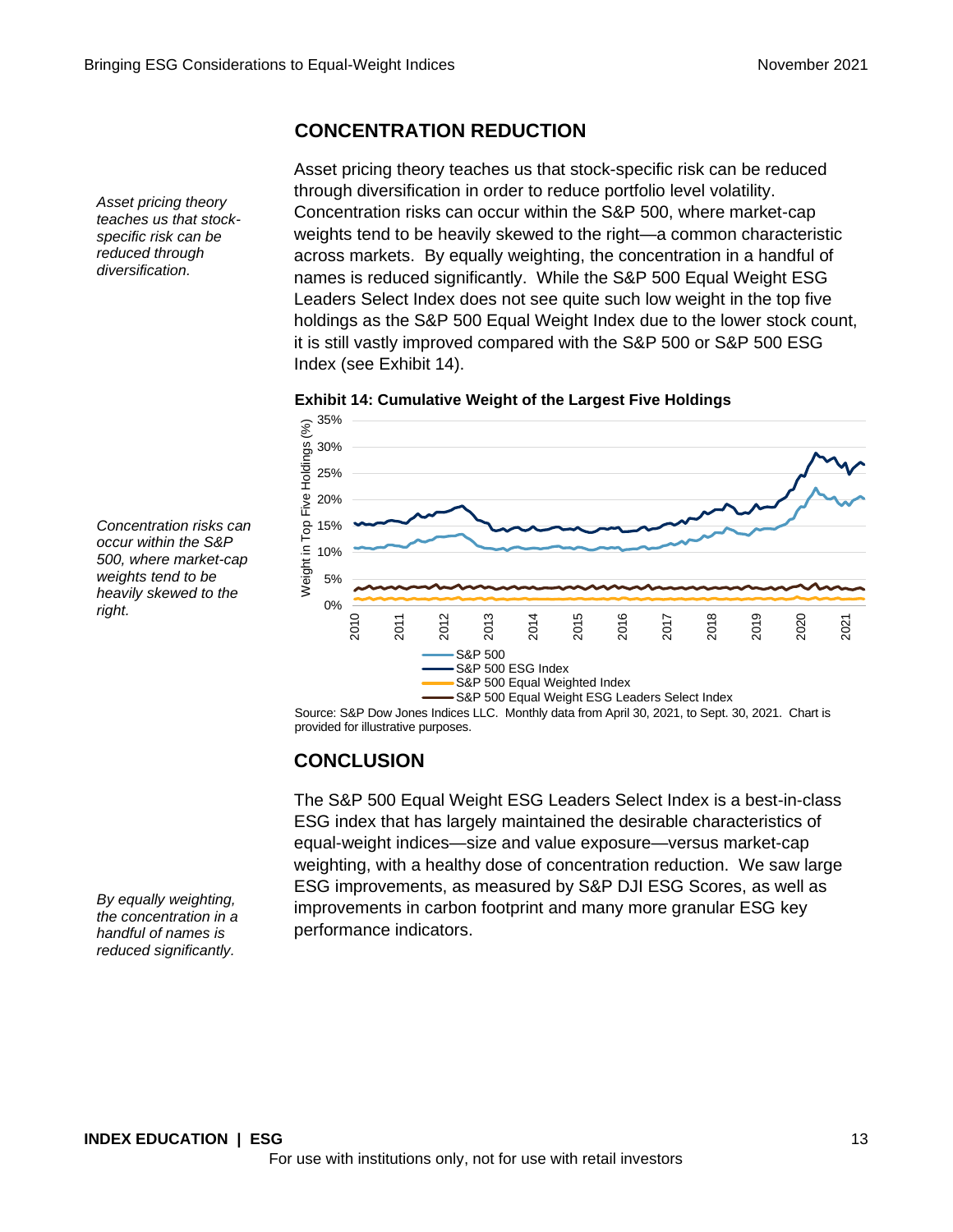### **CONCENTRATION REDUCTION**

Asset pricing theory teaches us that stock-specific risk can be reduced through diversification in order to reduce portfolio level volatility. Concentration risks can occur within the S&P 500, where market-cap weights tend to be heavily skewed to the right—a common characteristic across markets. By equally weighting, the concentration in a handful of names is reduced significantly. While the S&P 500 Equal Weight ESG Leaders Select Index does not see quite such low weight in the top five holdings as the S&P 500 Equal Weight Index due to the lower stock count, it is still vastly improved compared with the S&P 500 or S&P 500 ESG Index (see Exhibit 14).





Source: S&P Dow Jones Indices LLC. Monthly data from April 30, 2021, to Sept. 30, 2021. Chart is provided for illustrative purposes.

### **CONCLUSION**

The S&P 500 Equal Weight ESG Leaders Select Index is a best-in-class ESG index that has largely maintained the desirable characteristics of equal-weight indices—size and value exposure—versus market-cap weighting, with a healthy dose of concentration reduction. We saw large ESG improvements, as measured by S&P DJI ESG Scores, as well as improvements in carbon footprint and many more granular ESG key performance indicators.

*Concentration risks can occur within the S&P 500, where market-cap weights tend to be heavily skewed to the right.*

*Asset pricing theory teaches us that stockspecific risk can be reduced through diversification.*

*By equally weighting, the concentration in a handful of names is reduced significantly.*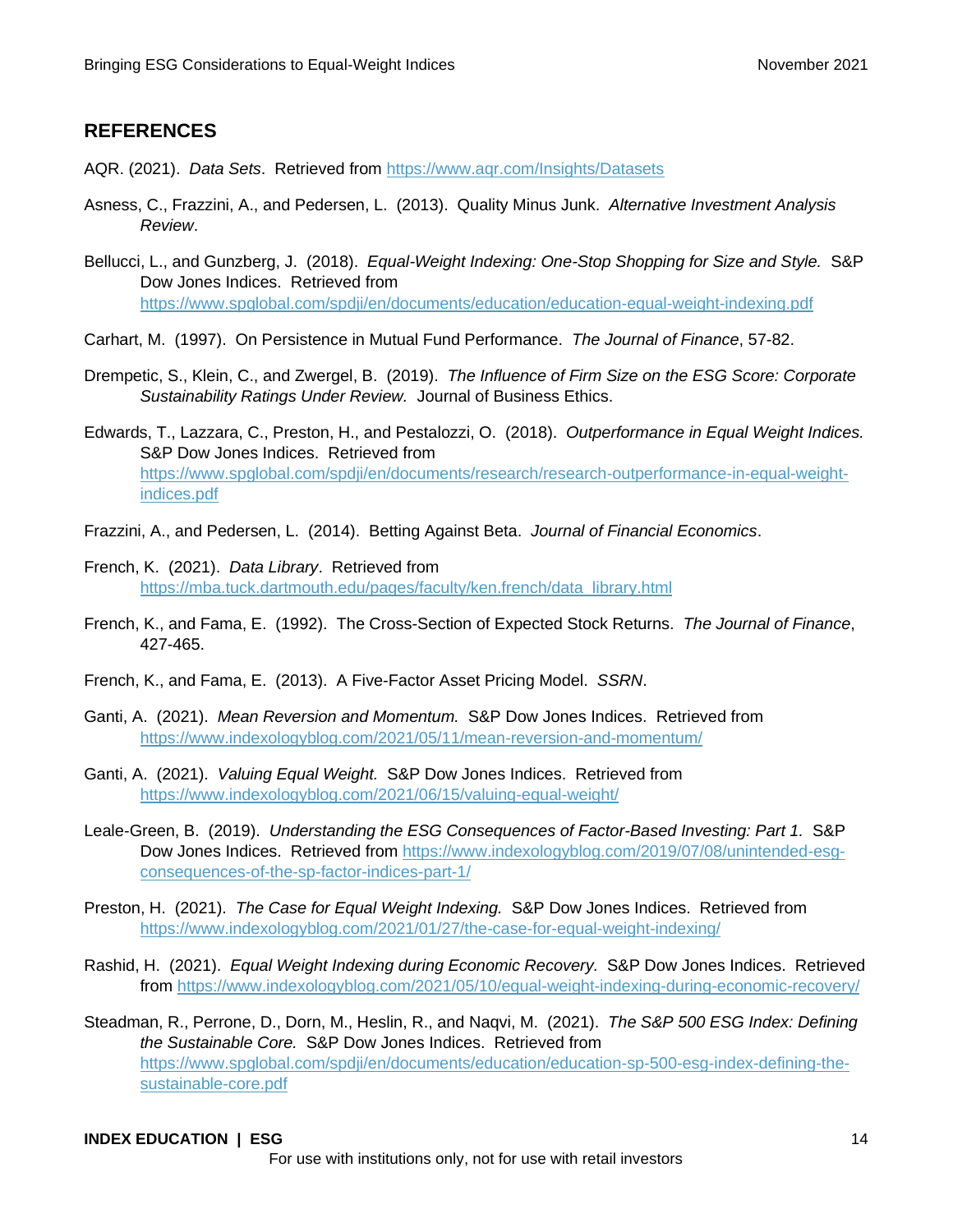### **REFERENCES**

- AQR. (2021). *Data Sets*. Retrieved from <https://www.aqr.com/Insights/Datasets>
- Asness, C., Frazzini, A., and Pedersen, L. (2013). Quality Minus Junk. *Alternative Investment Analysis Review*.
- Bellucci, L., and Gunzberg, J. (2018). *Equal-Weight Indexing: One-Stop Shopping for Size and Style.* S&P Dow Jones Indices. Retrieved from [https://www.spglobal.com/spdji/en/documents/education/education-equal-weight-indexing.pdf](https://www.spglobal.com/spdji/en/documents/education/education-equal-weight-indexing.pdf?utm_source=pdf_education)
- Carhart, M. (1997). On Persistence in Mutual Fund Performance. *The Journal of Finance*, 57-82.
- Drempetic, S., Klein, C., and Zwergel, B. (2019). *The Influence of Firm Size on the ESG Score: Corporate Sustainability Ratings Under Review.* Journal of Business Ethics.
- Edwards, T., Lazzara, C., Preston, H., and Pestalozzi, O. (2018). *Outperformance in Equal Weight Indices.* S&P Dow Jones Indices. Retrieved from [https://www.spglobal.com/spdji/en/documents/research/research-outperformance-in-equal-weight](https://www.spglobal.com/spdji/en/documents/research/research-outperformance-in-equal-weight-indices.pdf?utm_source=pdf_education)[indices.pdf](https://www.spglobal.com/spdji/en/documents/research/research-outperformance-in-equal-weight-indices.pdf?utm_source=pdf_education)
- Frazzini, A., and Pedersen, L. (2014). Betting Against Beta. *Journal of Financial Economics*.
- French, K. (2021). *Data Library*. Retrieved from [https://mba.tuck.dartmouth.edu/pages/faculty/ken.french/data\\_library.html](https://mba.tuck.dartmouth.edu/pages/faculty/ken.french/data_library.html)
- French, K., and Fama, E. (1992). The Cross-Section of Expected Stock Returns. *The Journal of Finance*, 427-465.
- French, K., and Fama, E. (2013). A Five-Factor Asset Pricing Model. *SSRN*.
- Ganti, A. (2021). *Mean Reversion and Momentum.* S&P Dow Jones Indices. Retrieved from [https://www.indexologyblog.com/2021/05/11/mean-reversion-and-momentum/](https://www.indexologyblog.com/2021/05/11/mean-reversion-and-momentum/?utm_source=pdf_education)
- Ganti, A. (2021). *Valuing Equal Weight.* S&P Dow Jones Indices. Retrieved from [https://www.indexologyblog.com/2021/06/15/valuing-equal-weight/](https://www.indexologyblog.com/2021/06/15/valuing-equal-weight/?utm_source=pdf_education)
- Leale-Green, B. (2019). *Understanding the ESG Consequences of Factor-Based Investing: Part 1.* S&P Dow Jones Indices. Retrieved from [https://www.indexologyblog.com/2019/07/08/unintended-esg](https://www.indexologyblog.com/2019/07/08/unintended-esg-consequences-of-the-sp-factor-indices-part-1/?utm_source=pdf_education)[consequences-of-the-sp-factor-indices-part-1/](https://www.indexologyblog.com/2019/07/08/unintended-esg-consequences-of-the-sp-factor-indices-part-1/?utm_source=pdf_education)
- Preston, H. (2021). *The Case for Equal Weight Indexing.* S&P Dow Jones Indices. Retrieved from [https://www.indexologyblog.com/2021/01/27/the-case-for-equal-weight-indexing/](https://www.indexologyblog.com/2021/01/27/the-case-for-equal-weight-indexing/?utm_source=pdf_education)
- Rashid, H. (2021). *Equal Weight Indexing during Economic Recovery.* S&P Dow Jones Indices. Retrieved from [https://www.indexologyblog.com/2021/05/10/equal-weight-indexing-during-economic-recovery/](https://www.indexologyblog.com/2021/05/10/equal-weight-indexing-during-economic-recovery/?utm_source=pdf_education)
- Steadman, R., Perrone, D., Dorn, M., Heslin, R., and Naqvi, M. (2021). *The S&P 500 ESG Index: Defining the Sustainable Core.* S&P Dow Jones Indices. Retrieved from [https://www.spglobal.com/spdji/en/documents/education/education-sp-500-esg-index-defining-the](https://www.spglobal.com/spdji/en/documents/education/education-sp-500-esg-index-defining-the-sustainable-core.pdf?utm_source=pdf_education)[sustainable-core.pdf](https://www.spglobal.com/spdji/en/documents/education/education-sp-500-esg-index-defining-the-sustainable-core.pdf?utm_source=pdf_education)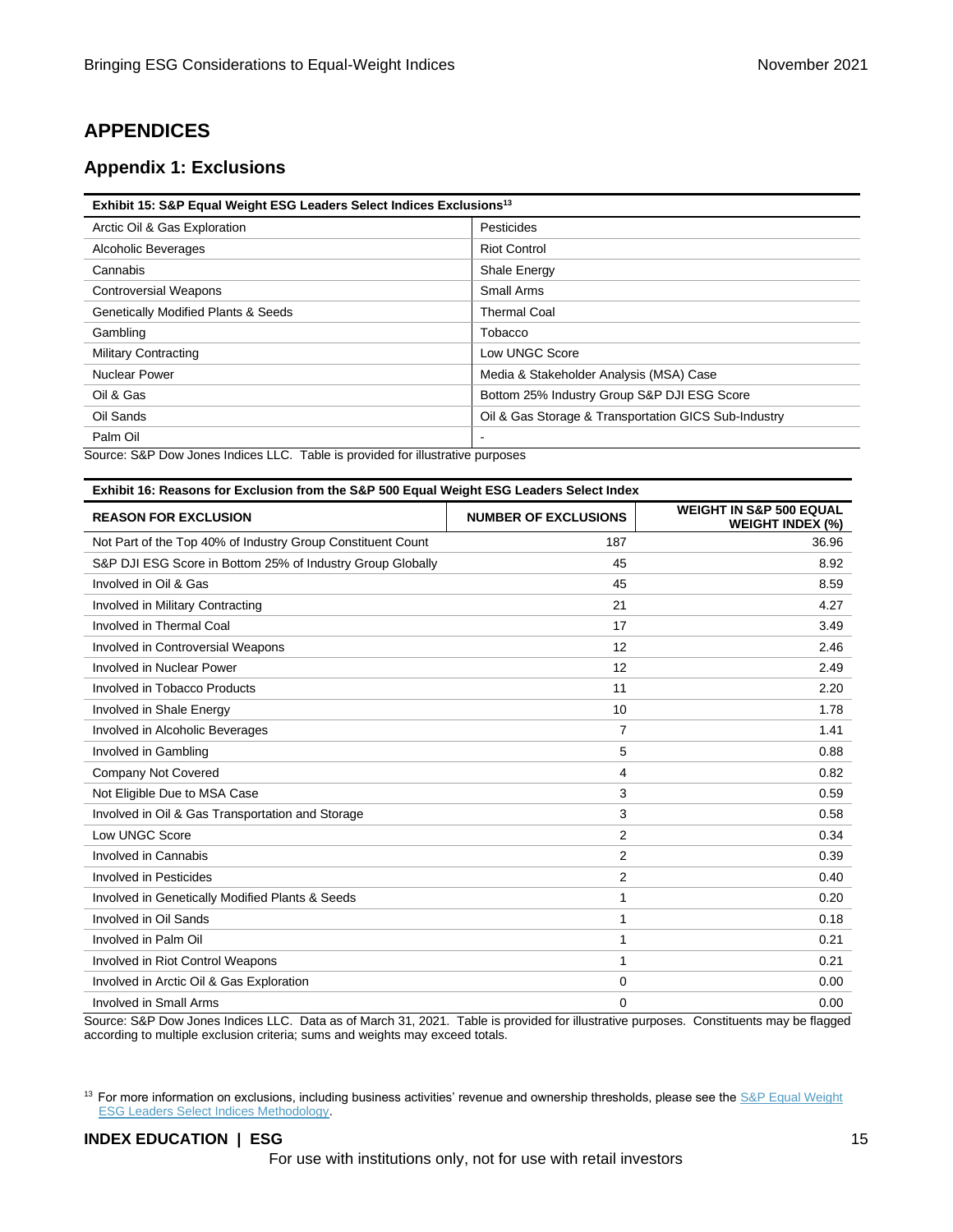### **APPENDICES**

### **Appendix 1: Exclusions**

| Exhibit 15: S&P Equal Weight ESG Leaders Select Indices Exclusions <sup>13</sup> |                                                      |  |  |
|----------------------------------------------------------------------------------|------------------------------------------------------|--|--|
| Arctic Oil & Gas Exploration                                                     | Pesticides                                           |  |  |
| Alcoholic Beverages                                                              | <b>Riot Control</b>                                  |  |  |
| Cannabis                                                                         | <b>Shale Energy</b>                                  |  |  |
| <b>Controversial Weapons</b>                                                     | Small Arms                                           |  |  |
| <b>Genetically Modified Plants &amp; Seeds</b>                                   | <b>Thermal Coal</b>                                  |  |  |
| Gambling                                                                         | Tobacco                                              |  |  |
| <b>Military Contracting</b>                                                      | Low UNGC Score                                       |  |  |
| <b>Nuclear Power</b>                                                             | Media & Stakeholder Analysis (MSA) Case              |  |  |
| Oil & Gas                                                                        | Bottom 25% Industry Group S&P DJI ESG Score          |  |  |
| Oil Sands                                                                        | Oil & Gas Storage & Transportation GICS Sub-Industry |  |  |
| Palm Oil                                                                         |                                                      |  |  |

Source: S&P Dow Jones Indices LLC. Table is provided for illustrative purposes

| Exhibit 16: Reasons for Exclusion from the S&P 500 Equal Weight ESG Leaders Select Index |                             |                                                               |  |  |
|------------------------------------------------------------------------------------------|-----------------------------|---------------------------------------------------------------|--|--|
| <b>REASON FOR EXCLUSION</b>                                                              | <b>NUMBER OF EXCLUSIONS</b> | <b>WEIGHT IN S&amp;P 500 EQUAL</b><br><b>WEIGHT INDEX (%)</b> |  |  |
| Not Part of the Top 40% of Industry Group Constituent Count                              | 187                         | 36.96                                                         |  |  |
| S&P DJI ESG Score in Bottom 25% of Industry Group Globally                               | 45                          | 8.92                                                          |  |  |
| Involved in Oil & Gas                                                                    | 45                          | 8.59                                                          |  |  |
| Involved in Military Contracting                                                         | 21                          | 4.27                                                          |  |  |
| Involved in Thermal Coal                                                                 | 17                          | 3.49                                                          |  |  |
| Involved in Controversial Weapons                                                        | 12                          | 2.46                                                          |  |  |
| Involved in Nuclear Power                                                                | 12                          | 2.49                                                          |  |  |
| Involved in Tobacco Products                                                             | 11                          | 2.20                                                          |  |  |
| Involved in Shale Energy                                                                 | 10                          | 1.78                                                          |  |  |
| Involved in Alcoholic Beverages                                                          | 7                           | 1.41                                                          |  |  |
| Involved in Gambling                                                                     | 5                           | 0.88                                                          |  |  |
| Company Not Covered                                                                      | 4                           | 0.82                                                          |  |  |
| Not Eligible Due to MSA Case                                                             | 3                           | 0.59                                                          |  |  |
| Involved in Oil & Gas Transportation and Storage                                         | 3                           | 0.58                                                          |  |  |
| Low UNGC Score                                                                           | $\overline{2}$              | 0.34                                                          |  |  |
| Involved in Cannabis                                                                     | $\overline{2}$              | 0.39                                                          |  |  |
| Involved in Pesticides                                                                   | $\overline{2}$              | 0.40                                                          |  |  |
| Involved in Genetically Modified Plants & Seeds                                          | 1                           | 0.20                                                          |  |  |
| Involved in Oil Sands                                                                    | 1                           | 0.18                                                          |  |  |
| Involved in Palm Oil                                                                     | 1                           | 0.21                                                          |  |  |
| Involved in Riot Control Weapons                                                         | 1                           | 0.21                                                          |  |  |
| Involved in Arctic Oil & Gas Exploration                                                 | $\mathbf 0$                 | 0.00                                                          |  |  |
| <b>Involved in Small Arms</b>                                                            | $\mathbf 0$                 | 0.00                                                          |  |  |

Source: S&P Dow Jones Indices LLC. Data as of March 31, 2021. Table is provided for illustrative purposes. Constituents may be flagged according to multiple exclusion criteria; sums and weights may exceed totals.

<sup>13</sup> For more information on exclusions, including business activities' revenue and ownership thresholds, please see the S&P Equal Weight [ESG Leaders Select Indices Methodology.](https://www.spglobal.com/spdji/en/documents/methodologies/methodology-sp-ew-esg-leaders-select-indices.pdf?utm_source=pdf_education)

### **INDEX EDUCATION | ESG** 15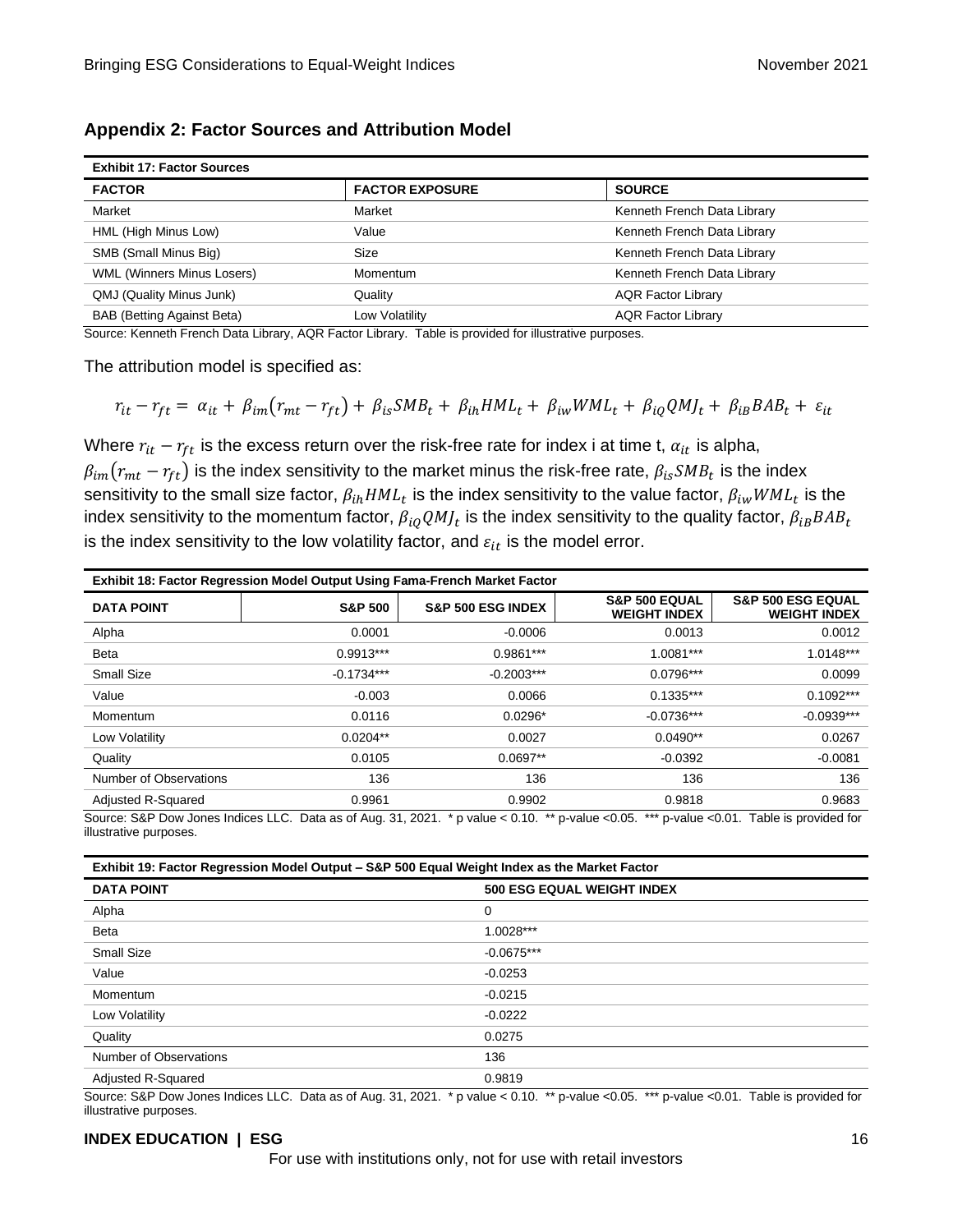| <b>Exhibit 17: Factor Sources</b> |                        |                             |  |
|-----------------------------------|------------------------|-----------------------------|--|
| <b>FACTOR</b>                     | <b>FACTOR EXPOSURE</b> | <b>SOURCE</b>               |  |
| Market                            | Market                 | Kenneth French Data Library |  |
| HML (High Minus Low)              | Value                  | Kenneth French Data Library |  |
| SMB (Small Minus Big)             | Size                   | Kenneth French Data Library |  |
| <b>WML (Winners Minus Losers)</b> | Momentum               | Kenneth French Data Library |  |
| QMJ (Quality Minus Junk)          | Quality                | <b>AQR Factor Library</b>   |  |
| <b>BAB (Betting Against Beta)</b> | Low Volatilitv         | <b>AQR Factor Library</b>   |  |

Source: Kenneth French Data Library, AQR Factor Library. Table is provided for illustrative purposes.

The attribution model is specified as:

$$
r_{it} - r_{ft} = \alpha_{it} + \beta_{im}(r_{mt} - r_{ft}) + \beta_{is}SMB_t + \beta_{ih}HML_t + \beta_{iw}WML_t + \beta_{iq}QMI_t + \beta_{ib}BAB_t + \varepsilon_{it}
$$

Where  $r_{it} - r_{ft}$  is the excess return over the risk-free rate for index i at time t,  $\alpha_{it}$  is alpha,  $\beta_{im}(r_{mt}-r_{ft})$  is the index sensitivity to the market minus the risk-free rate,  $\beta_{is}SMB_t$  is the index sensitivity to the small size factor,  $\beta_{ih}HML_t$  is the index sensitivity to the value factor,  $\beta_{iw}WML_t$  is the index sensitivity to the momentum factor,  $\beta_{iQ} Q M J_t$  is the index sensitivity to the quality factor,  $\beta_{iB}BAB_t$ is the index sensitivity to the low volatility factor, and  $\varepsilon_{it}$  is the model error.

| <b>Exhibit 18: Factor Regression Model Output Using Fama-French Market Factor</b>                                                                                        |                    |                              |                                                 |                                                     |
|--------------------------------------------------------------------------------------------------------------------------------------------------------------------------|--------------------|------------------------------|-------------------------------------------------|-----------------------------------------------------|
| <b>DATA POINT</b>                                                                                                                                                        | <b>S&amp;P 500</b> | <b>S&amp;P 500 ESG INDEX</b> | <b>S&amp;P 500 EQUAL</b><br><b>WEIGHT INDEX</b> | <b>S&amp;P 500 ESG EQUAL</b><br><b>WEIGHT INDEX</b> |
| Alpha                                                                                                                                                                    | 0.0001             | $-0.0006$                    | 0.0013                                          | 0.0012                                              |
| Beta                                                                                                                                                                     | $0.9913***$        | $0.9861***$                  | 1.0081***                                       | 1.0148***                                           |
| Small Size                                                                                                                                                               | $-0.1734***$       | $-0.2003***$                 | $0.0796***$                                     | 0.0099                                              |
| Value                                                                                                                                                                    | $-0.003$           | 0.0066                       | $0.1335***$                                     | $0.1092***$                                         |
| Momentum                                                                                                                                                                 | 0.0116             | $0.0296*$                    | $-0.0736***$                                    | $-0.0939***$                                        |
| Low Volatility                                                                                                                                                           | $0.0204**$         | 0.0027                       | $0.0490**$                                      | 0.0267                                              |
| Quality                                                                                                                                                                  | 0.0105             | $0.0697**$                   | $-0.0392$                                       | $-0.0081$                                           |
| Number of Observations                                                                                                                                                   | 136                | 136                          | 136                                             | 136                                                 |
| Adjusted R-Squared                                                                                                                                                       | 0.9961             | 0.9902                       | 0.9818                                          | 0.9683                                              |
| Source: S&P Dow Jones Indices LLC. Data as of Aug. 31, 2021. * p value < 0.10. ** p-value < 0.05. *** p-value < 0.01.<br>Table is provided for<br>illustrative purposes. |                    |                              |                                                 |                                                     |

| Exhibit 19: Factor Regression Model Output - S&P 500 Equal Weight Index as the Market Factor |                                   |  |  |
|----------------------------------------------------------------------------------------------|-----------------------------------|--|--|
| <b>DATA POINT</b>                                                                            | <b>500 ESG EQUAL WEIGHT INDEX</b> |  |  |
| Alpha                                                                                        | 0                                 |  |  |
| Beta                                                                                         | 1.0028***                         |  |  |
| Small Size                                                                                   | $-0.0675***$                      |  |  |
| Value                                                                                        | $-0.0253$                         |  |  |
| Momentum                                                                                     | $-0.0215$                         |  |  |
| Low Volatility                                                                               | $-0.0222$                         |  |  |
| Quality                                                                                      | 0.0275                            |  |  |
| Number of Observations                                                                       | 136                               |  |  |
| <b>Adjusted R-Squared</b>                                                                    | 0.9819                            |  |  |

Source: S&P Dow Jones Indices LLC. Data as of Aug. 31, 2021. \* p value < 0.10. \*\* p-value <0.05. \*\*\* p-value <0.01. Table is provided for illustrative purposes.

#### **INDEX EDUCATION | ESG** 16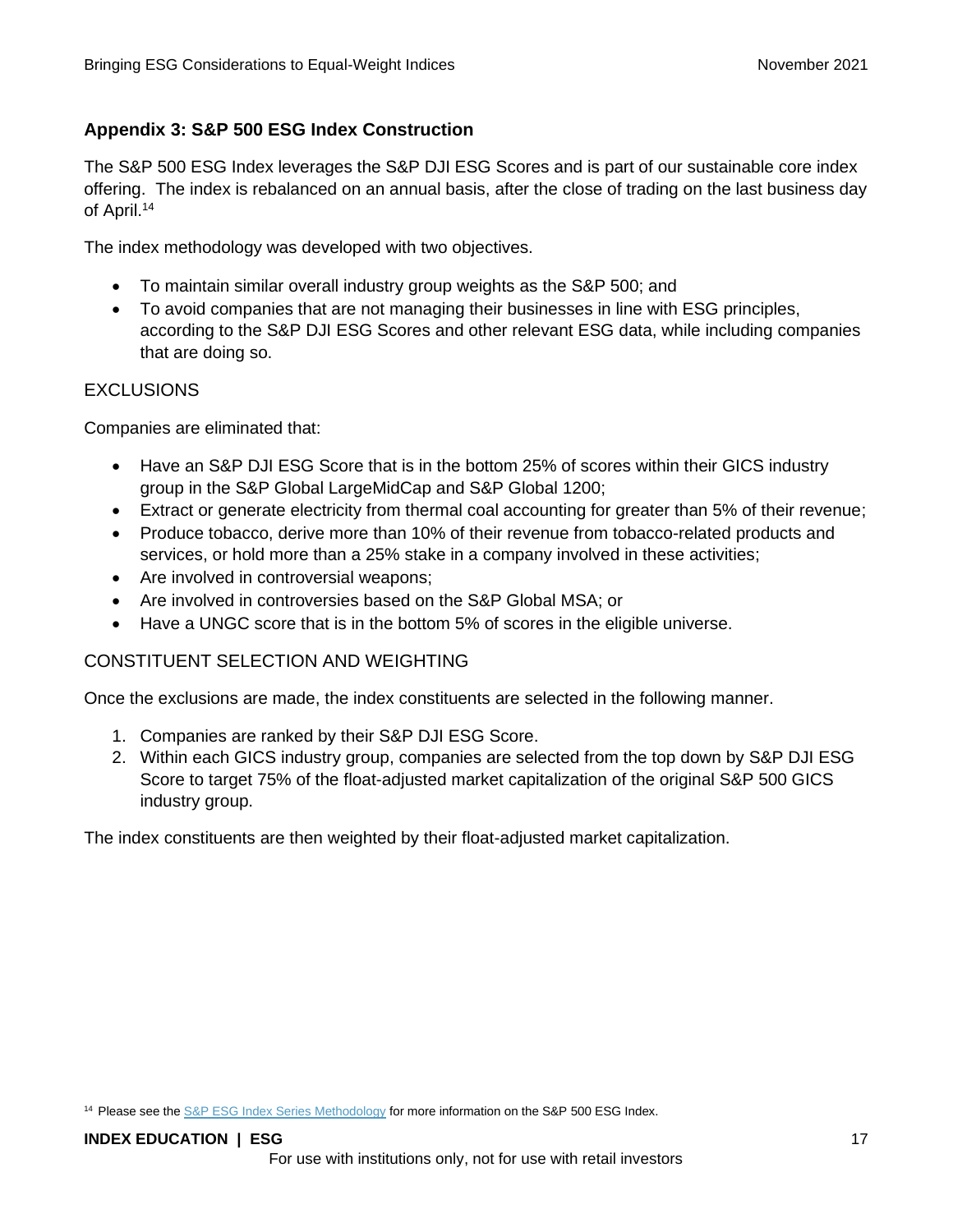### **Appendix 3: S&P 500 ESG Index Construction**

The S&P 500 ESG Index leverages the S&P DJI ESG Scores and is part of our sustainable core index offering. The index is rebalanced on an annual basis, after the close of trading on the last business day of April.<sup>14</sup>

The index methodology was developed with two objectives.

- To maintain similar overall industry group weights as the S&P 500; and
- To avoid companies that are not managing their businesses in line with ESG principles, according to the S&P DJI ESG Scores and other relevant ESG data, while including companies that are doing so.

### **EXCLUSIONS**

Companies are eliminated that:

- Have an S&P DJI ESG Score that is in the bottom 25% of scores within their GICS industry group in the S&P Global LargeMidCap and S&P Global 1200;
- Extract or generate electricity from thermal coal accounting for greater than 5% of their revenue;
- Produce tobacco, derive more than 10% of their revenue from tobacco-related products and services, or hold more than a 25% stake in a company involved in these activities;
- Are involved in controversial weapons;
- Are involved in controversies based on the S&P Global MSA; or
- Have a UNGC score that is in the bottom 5% of scores in the eligible universe.

### CONSTITUENT SELECTION AND WEIGHTING

Once the exclusions are made, the index constituents are selected in the following manner.

- 1. Companies are ranked by their S&P DJI ESG Score.
- 2. Within each GICS industry group, companies are selected from the top down by S&P DJI ESG Score to target 75% of the float-adjusted market capitalization of the original S&P 500 GICS industry group.

The index constituents are then weighted by their float-adjusted market capitalization.

<sup>&</sup>lt;sup>14</sup> Please see the **S&P ESG Index Series Methodology** for more information on the S&P 500 ESG Index.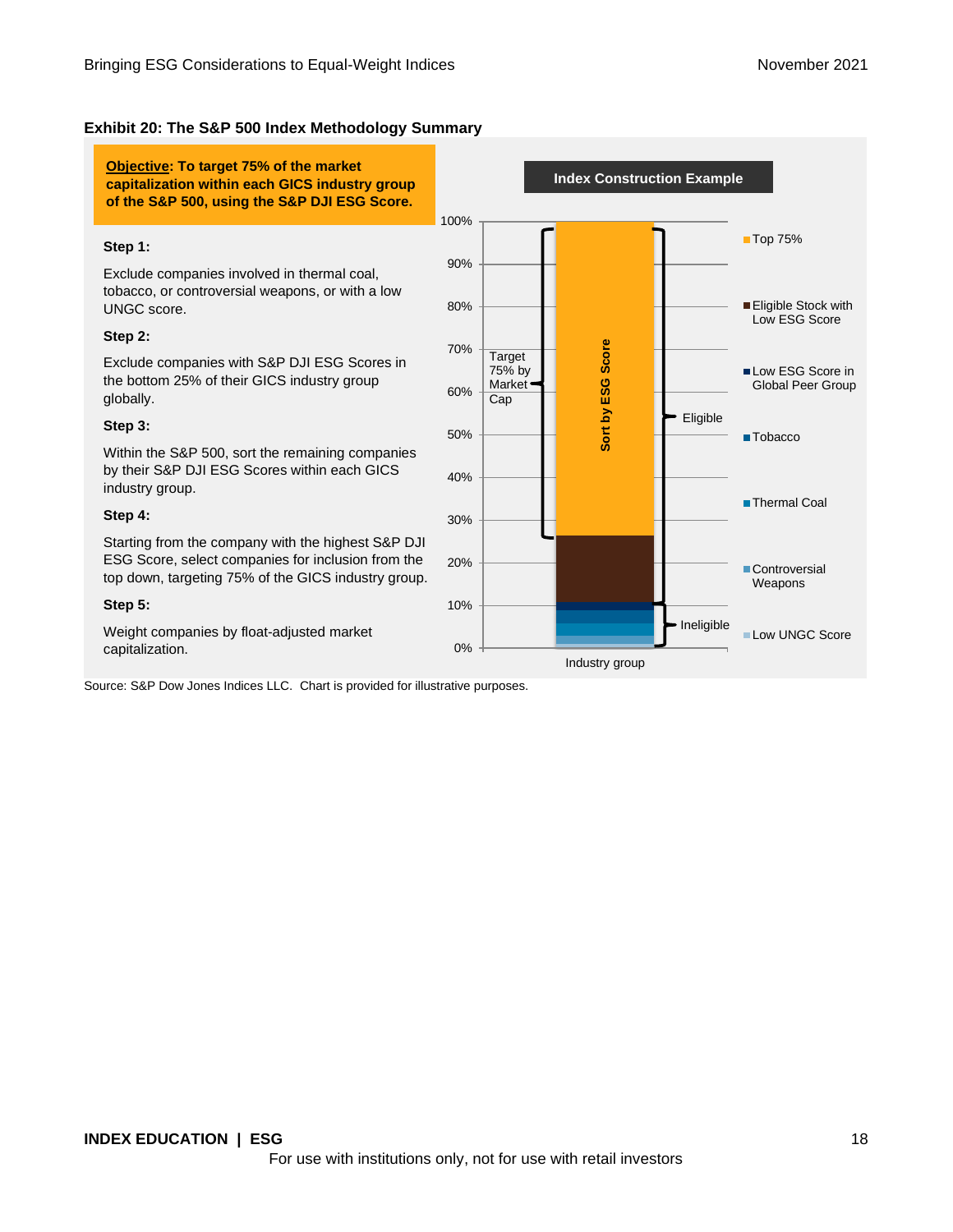### **Exhibit 20: The S&P 500 Index Methodology Summary**

**Objective: To target 75% of the market capitalization within each GICS industry group of the S&P 500, using the S&P DJI ESG Score.**

#### **Step 1:**

Exclude companies involved in thermal coal, tobacco, or controversial weapons, or with a low UNGC score.

#### **Step 2:**

Exclude companies with S&P DJI ESG Scores in the bottom 25% of their GICS industry group globally.

#### **Step 3:**

Within the S&P 500, sort the remaining companies by their S&P DJI ESG Scores within each GICS industry group.

#### **Step 4:**

Starting from the company with the highest S&P DJI ESG Score, select companies for inclusion from the top down, targeting 75% of the GICS industry group.

#### **Step 5:**

Weight companies by float-adjusted market capitalization. 0%

Source: S&P Dow Jones Indices LLC. Chart is provided for illustrative purposes.

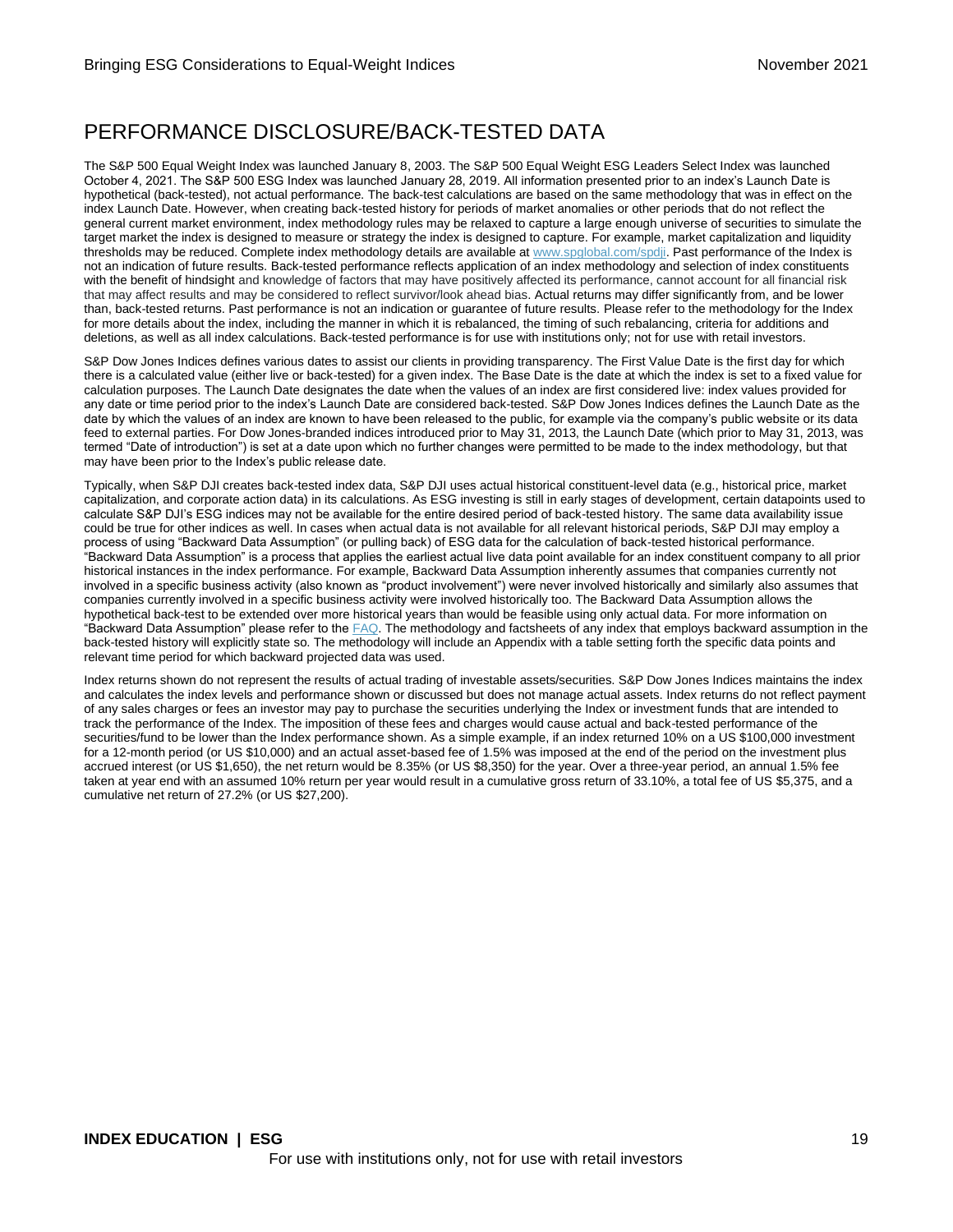### PERFORMANCE DISCLOSURE/BACK-TESTED DATA

The S&P 500 Equal Weight Index was launched January 8, 2003. The S&P 500 Equal Weight ESG Leaders Select Index was launched October 4, 2021. The S&P 500 ESG Index was launched January 28, 2019. All information presented prior to an index's Launch Date is hypothetical (back-tested), not actual performance. The back-test calculations are based on the same methodology that was in effect on the index Launch Date. However, when creating back-tested history for periods of market anomalies or other periods that do not reflect the general current market environment, index methodology rules may be relaxed to capture a large enough universe of securities to simulate the target market the index is designed to measure or strategy the index is designed to capture. For example, market capitalization and liquidity thresholds may be reduced. Complete index methodology details are available a[t www.spglobal.com/spdji.](http://www.spglobal.com/spdji/en?utm_source=pdf_education) Past performance of the Index is not an indication of future results. Back-tested performance reflects application of an index methodology and selection of index constituents with the benefit of hindsight and knowledge of factors that may have positively affected its performance, cannot account for all financial risk that may affect results and may be considered to reflect survivor/look ahead bias. Actual returns may differ significantly from, and be lower than, back-tested returns. Past performance is not an indication or guarantee of future results. Please refer to the methodology for the Index for more details about the index, including the manner in which it is rebalanced, the timing of such rebalancing, criteria for additions and deletions, as well as all index calculations. Back-tested performance is for use with institutions only; not for use with retail investors.

S&P Dow Jones Indices defines various dates to assist our clients in providing transparency. The First Value Date is the first day for which there is a calculated value (either live or back-tested) for a given index. The Base Date is the date at which the index is set to a fixed value for calculation purposes. The Launch Date designates the date when the values of an index are first considered live: index values provided for any date or time period prior to the index's Launch Date are considered back-tested. S&P Dow Jones Indices defines the Launch Date as the date by which the values of an index are known to have been released to the public, for example via the company's public website or its data feed to external parties. For Dow Jones-branded indices introduced prior to May 31, 2013, the Launch Date (which prior to May 31, 2013, was termed "Date of introduction") is set at a date upon which no further changes were permitted to be made to the index methodology, but that may have been prior to the Index's public release date.

Typically, when S&P DJI creates back-tested index data, S&P DJI uses actual historical constituent-level data (e.g., historical price, market capitalization, and corporate action data) in its calculations. As ESG investing is still in early stages of development, certain datapoints used to calculate S&P DJI's ESG indices may not be available for the entire desired period of back-tested history. The same data availability issue could be true for other indices as well. In cases when actual data is not available for all relevant historical periods, S&P DJI may employ a process of using "Backward Data Assumption" (or pulling back) of ESG data for the calculation of back-tested historical performance. "Backward Data Assumption" is a process that applies the earliest actual live data point available for an index constituent company to all prior historical instances in the index performance. For example, Backward Data Assumption inherently assumes that companies currently not involved in a specific business activity (also known as "product involvement") were never involved historically and similarly also assumes that companies currently involved in a specific business activity were involved historically too. The Backward Data Assumption allows the hypothetical back-test to be extended over more historical years than would be feasible using only actual data. For more information on "Backward Data Assumption" please refer to th[e FAQ.](https://www.spglobal.com/spdji/en/education/article/faq-esg-back-testing-backward-data-assumption-overview/?utm_source=pdf_education) The methodology and factsheets of any index that employs backward assumption in the back-tested history will explicitly state so. The methodology will include an Appendix with a table setting forth the specific data points and relevant time period for which backward projected data was used.

Index returns shown do not represent the results of actual trading of investable assets/securities. S&P Dow Jones Indices maintains the index and calculates the index levels and performance shown or discussed but does not manage actual assets. Index returns do not reflect payment of any sales charges or fees an investor may pay to purchase the securities underlying the Index or investment funds that are intended to track the performance of the Index. The imposition of these fees and charges would cause actual and back-tested performance of the securities/fund to be lower than the Index performance shown. As a simple example, if an index returned 10% on a US \$100,000 investment for a 12-month period (or US \$10,000) and an actual asset-based fee of 1.5% was imposed at the end of the period on the investment plus accrued interest (or US \$1,650), the net return would be 8.35% (or US \$8,350) for the year. Over a three-year period, an annual 1.5% fee taken at year end with an assumed 10% return per year would result in a cumulative gross return of 33.10%, a total fee of US \$5,375, and a cumulative net return of 27.2% (or US \$27,200).